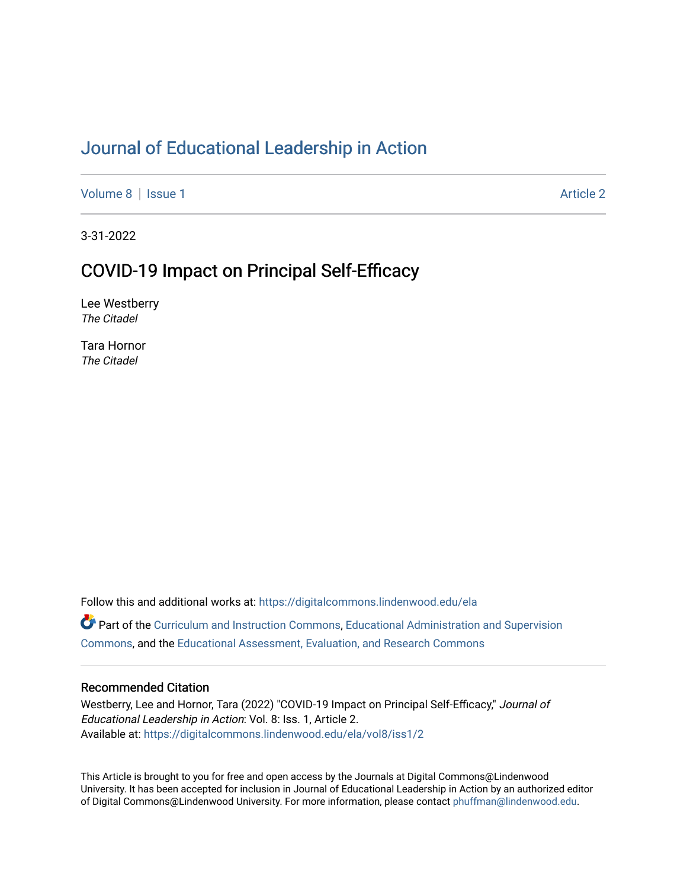# [Journal of Educational Leadership in Action](https://digitalcommons.lindenwood.edu/ela)

[Volume 8](https://digitalcommons.lindenwood.edu/ela/vol8) | [Issue 1](https://digitalcommons.lindenwood.edu/ela/vol8/iss1) Article 2

3-31-2022

# COVID-19 Impact on Principal Self-Efficacy

Lee Westberry The Citadel

Tara Hornor The Citadel

Follow this and additional works at: [https://digitalcommons.lindenwood.edu/ela](https://digitalcommons.lindenwood.edu/ela?utm_source=digitalcommons.lindenwood.edu%2Fela%2Fvol8%2Fiss1%2F2&utm_medium=PDF&utm_campaign=PDFCoverPages)  Part of the [Curriculum and Instruction Commons,](http://network.bepress.com/hgg/discipline/786?utm_source=digitalcommons.lindenwood.edu%2Fela%2Fvol8%2Fiss1%2F2&utm_medium=PDF&utm_campaign=PDFCoverPages) [Educational Administration and Supervision](http://network.bepress.com/hgg/discipline/787?utm_source=digitalcommons.lindenwood.edu%2Fela%2Fvol8%2Fiss1%2F2&utm_medium=PDF&utm_campaign=PDFCoverPages)  [Commons](http://network.bepress.com/hgg/discipline/787?utm_source=digitalcommons.lindenwood.edu%2Fela%2Fvol8%2Fiss1%2F2&utm_medium=PDF&utm_campaign=PDFCoverPages), and the [Educational Assessment, Evaluation, and Research Commons](http://network.bepress.com/hgg/discipline/796?utm_source=digitalcommons.lindenwood.edu%2Fela%2Fvol8%2Fiss1%2F2&utm_medium=PDF&utm_campaign=PDFCoverPages)

### Recommended Citation

Westberry, Lee and Hornor, Tara (2022) "COVID-19 Impact on Principal Self-Efficacy," Journal of Educational Leadership in Action: Vol. 8: Iss. 1, Article 2. Available at: [https://digitalcommons.lindenwood.edu/ela/vol8/iss1/2](https://digitalcommons.lindenwood.edu/ela/vol8/iss1/2?utm_source=digitalcommons.lindenwood.edu%2Fela%2Fvol8%2Fiss1%2F2&utm_medium=PDF&utm_campaign=PDFCoverPages) 

This Article is brought to you for free and open access by the Journals at Digital Commons@Lindenwood University. It has been accepted for inclusion in Journal of Educational Leadership in Action by an authorized editor of Digital Commons@Lindenwood University. For more information, please contact [phuffman@lindenwood.edu](mailto:phuffman@lindenwood.edu).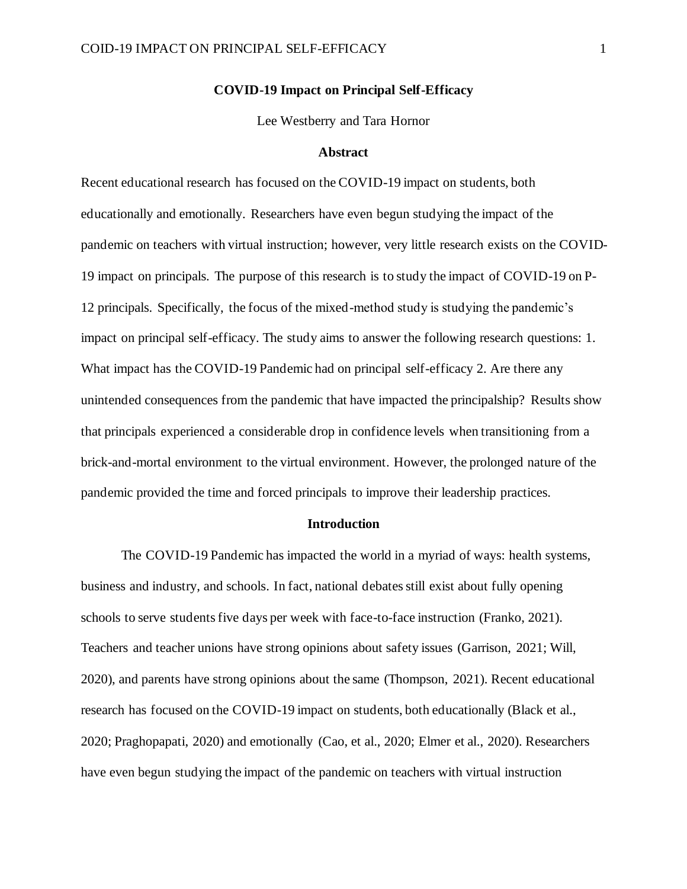### **COVID-19 Impact on Principal Self-Efficacy**

Lee Westberry and Tara Hornor

#### **Abstract**

Recent educational research has focused on the COVID-19 impact on students, both educationally and emotionally. Researchers have even begun studying the impact of the pandemic on teachers with virtual instruction; however, very little research exists on the COVID-19 impact on principals. The purpose of this research is to study the impact of COVID-19 on P-12 principals. Specifically, the focus of the mixed-method study is studying the pandemic's impact on principal self-efficacy. The study aims to answer the following research questions: 1. What impact has the COVID-19 Pandemic had on principal self-efficacy 2. Are there any unintended consequences from the pandemic that have impacted the principalship? Results show that principals experienced a considerable drop in confidence levels when transitioning from a brick-and-mortal environment to the virtual environment. However, the prolonged nature of the pandemic provided the time and forced principals to improve their leadership practices.

#### **Introduction**

The COVID-19 Pandemic has impacted the world in a myriad of ways: health systems, business and industry, and schools. In fact, national debates still exist about fully opening schools to serve students five days per week with face-to-face instruction (Franko, 2021). Teachers and teacher unions have strong opinions about safety issues (Garrison, 2021; Will, 2020), and parents have strong opinions about the same (Thompson, 2021). Recent educational research has focused on the COVID-19 impact on students, both educationally (Black et al., 2020; Praghopapati, 2020) and emotionally (Cao, et al., 2020; Elmer et al., 2020). Researchers have even begun studying the impact of the pandemic on teachers with virtual instruction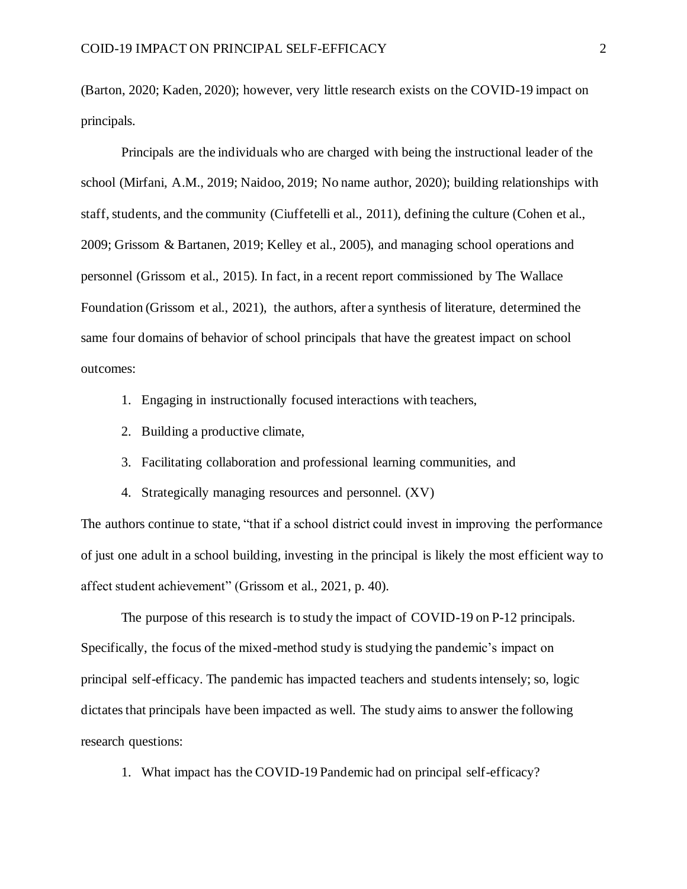(Barton, 2020; Kaden, 2020); however, very little research exists on the COVID-19 impact on principals.

Principals are the individuals who are charged with being the instructional leader of the school (Mirfani, A.M., 2019; Naidoo, 2019; No name author, 2020); building relationships with staff, students, and the community (Ciuffetelli et al., 2011), defining the culture (Cohen et al., 2009; Grissom & Bartanen, 2019; Kelley et al., 2005), and managing school operations and personnel (Grissom et al., 2015). In fact, in a recent report commissioned by The Wallace Foundation (Grissom et al., 2021), the authors, after a synthesis of literature, determined the same four domains of behavior of school principals that have the greatest impact on school outcomes:

- 1. Engaging in instructionally focused interactions with teachers,
- 2. Building a productive climate,
- 3. Facilitating collaboration and professional learning communities, and
- 4. Strategically managing resources and personnel. (XV)

The authors continue to state, "that if a school district could invest in improving the performance of just one adult in a school building, investing in the principal is likely the most efficient way to affect student achievement" (Grissom et al., 2021, p. 40).

The purpose of this research is to study the impact of COVID-19 on P-12 principals. Specifically, the focus of the mixed-method study is studying the pandemic's impact on principal self-efficacy. The pandemic has impacted teachers and studentsintensely; so, logic dictates that principals have been impacted as well. The study aims to answer the following research questions:

1. What impact has the COVID-19 Pandemic had on principal self-efficacy?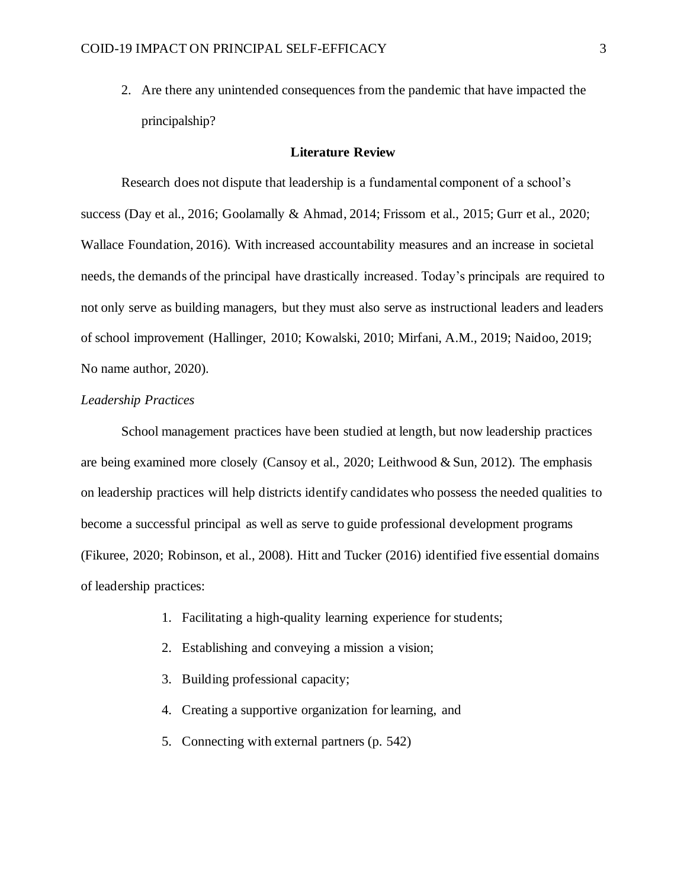2. Are there any unintended consequences from the pandemic that have impacted the principalship?

#### **Literature Review**

Research does not dispute that leadership is a fundamental component of a school's success (Day et al., 2016; Goolamally & Ahmad, 2014; Frissom et al., 2015; Gurr et al., 2020; Wallace Foundation, 2016). With increased accountability measures and an increase in societal needs, the demands of the principal have drastically increased. Today's principals are required to not only serve as building managers, but they must also serve as instructional leaders and leaders of school improvement (Hallinger, 2010; Kowalski, 2010; Mirfani, A.M., 2019; Naidoo, 2019; No name author, 2020).

#### *Leadership Practices*

School management practices have been studied at length, but now leadership practices are being examined more closely (Cansoy et al., 2020; Leithwood & Sun, 2012). The emphasis on leadership practices will help districts identify candidates who possess the needed qualities to become a successful principal as well as serve to guide professional development programs (Fikuree, 2020; Robinson, et al., 2008). Hitt and Tucker (2016) identified five essential domains of leadership practices:

- 1. Facilitating a high-quality learning experience for students;
- 2. Establishing and conveying a mission a vision;
- 3. Building professional capacity;
- 4. Creating a supportive organization for learning, and
- 5. Connecting with external partners (p. 542)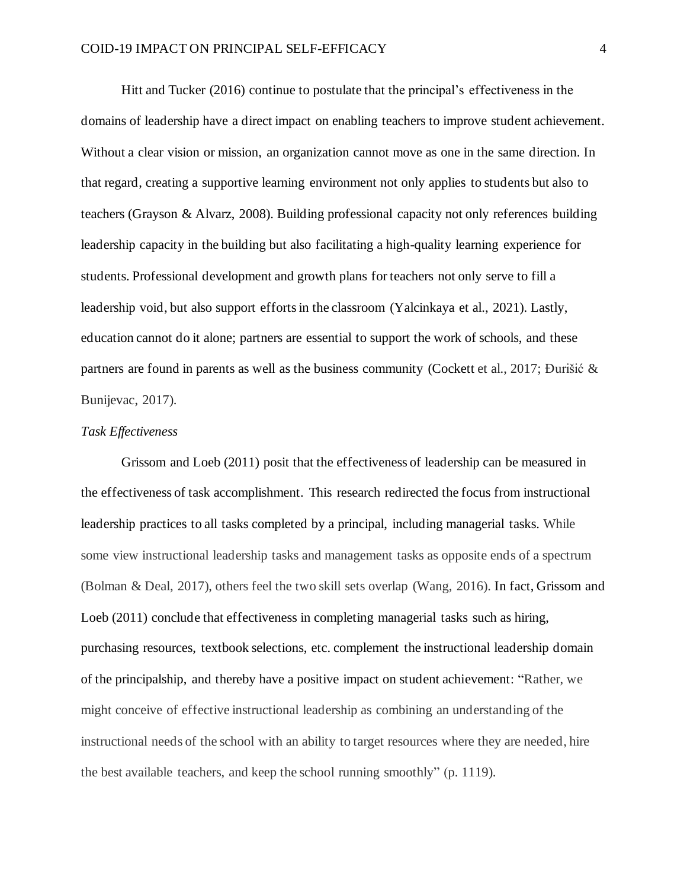Hitt and Tucker (2016) continue to postulate that the principal's effectiveness in the domains of leadership have a direct impact on enabling teachers to improve student achievement. Without a clear vision or mission, an organization cannot move as one in the same direction. In that regard, creating a supportive learning environment not only applies to students but also to teachers (Grayson & Alvarz, 2008). Building professional capacity not only references building leadership capacity in the building but also facilitating a high-quality learning experience for students. Professional development and growth plans for teachers not only serve to fill a leadership void, but also support efforts in the classroom (Yalcinkaya et al., 2021). Lastly, education cannot do it alone; partners are essential to support the work of schools, and these partners are found in parents as well as the business community (Cockett et al., 2017; Đurišić & Bunijevac, 2017).

#### *Task Effectiveness*

Grissom and Loeb (2011) posit that the effectiveness of leadership can be measured in the effectiveness of task accomplishment. This research redirected the focus from instructional leadership practices to all tasks completed by a principal, including managerial tasks. While some view instructional leadership tasks and management tasks as opposite ends of a spectrum (Bolman & Deal, 2017), others feel the two skill sets overlap (Wang, 2016). In fact, Grissom and Loeb (2011) conclude that effectiveness in completing managerial tasks such as hiring, purchasing resources, textbook selections, etc. complement the instructional leadership domain of the principalship, and thereby have a positive impact on student achievement: "Rather, we might conceive of effective instructional leadership as combining an understanding of the instructional needs of the school with an ability to target resources where they are needed, hire the best available teachers, and keep the school running smoothly" (p. 1119).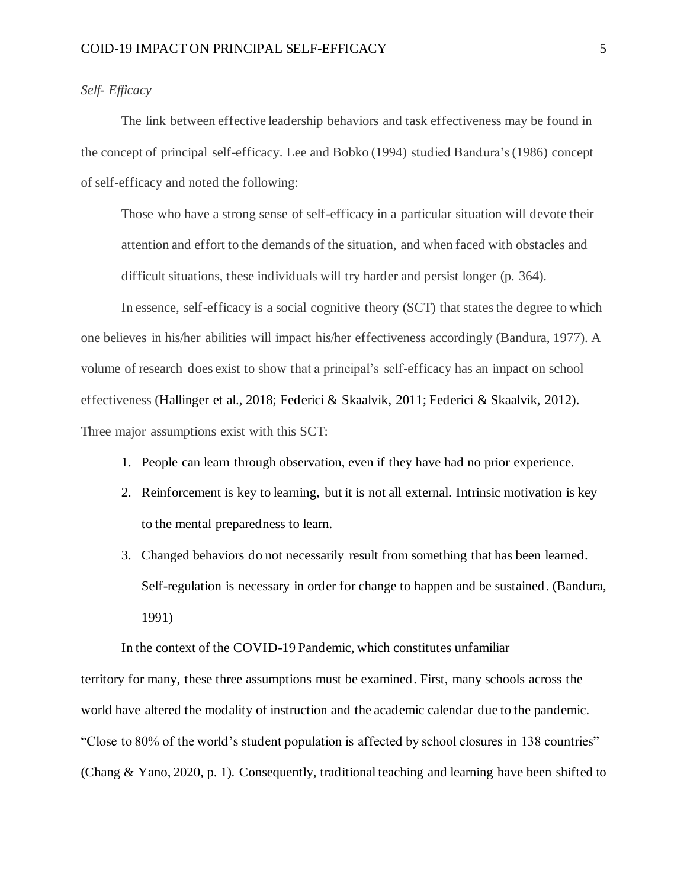## *Self- Efficacy*

The link between effective leadership behaviors and task effectiveness may be found in the concept of principal self-efficacy. Lee and Bobko (1994) studied Bandura's (1986) concept of self-efficacy and noted the following:

Those who have a strong sense of self-efficacy in a particular situation will devote their attention and effort to the demands of the situation, and when faced with obstacles and difficult situations, these individuals will try harder and persist longer (p. 364).

In essence, self-efficacy is a social cognitive theory (SCT) that statesthe degree to which one believes in his/her abilities will impact his/her effectiveness accordingly (Bandura, 1977). A volume of research does exist to show that a principal's self-efficacy has an impact on school effectiveness (Hallinger et al., 2018; Federici & Skaalvik, 2011; Federici & Skaalvik, 2012). Three major assumptions exist with this SCT:

- 1. People can learn through observation, even if they have had no prior experience.
- 2. Reinforcement is key to learning, but it is not all external. Intrinsic motivation is key to the mental preparedness to learn.
- 3. Changed behaviors do not necessarily result from something that has been learned. Self-regulation is necessary in order for change to happen and be sustained. (Bandura, 1991)

In the context of the COVID-19 Pandemic, which constitutes unfamiliar

territory for many, these three assumptions must be examined. First, many schools across the world have altered the modality of instruction and the academic calendar due to the pandemic. "Close to 80% of the world's student population is affected by school closures in 138 countries" (Chang & Yano, 2020, p. 1). Consequently, traditional teaching and learning have been shifted to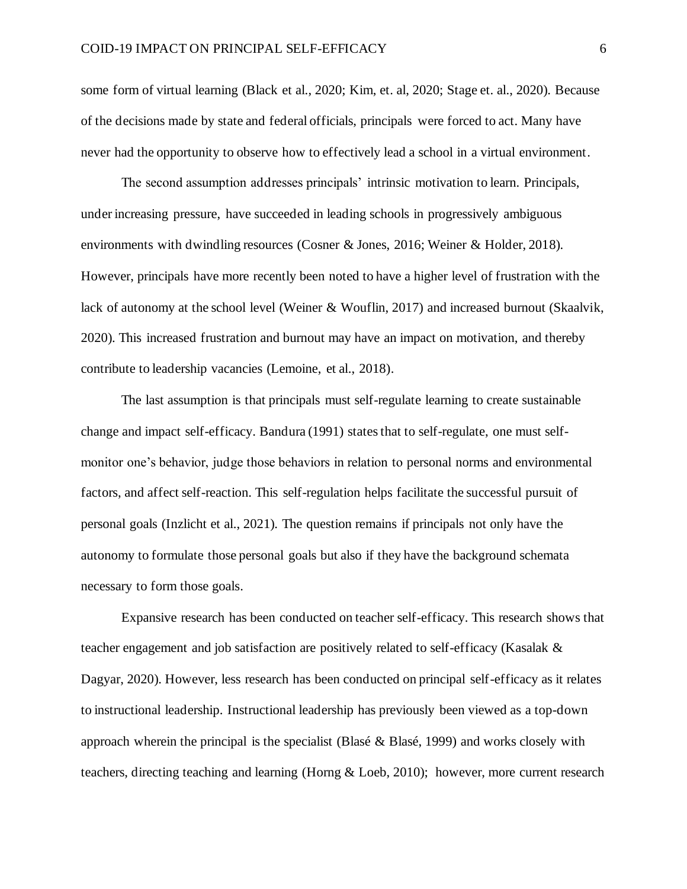some form of virtual learning (Black et al., 2020; Kim, et. al, 2020; Stage et. al., 2020). Because of the decisions made by state and federal officials, principals were forced to act. Many have never had the opportunity to observe how to effectively lead a school in a virtual environment.

The second assumption addresses principals' intrinsic motivation to learn. Principals, under increasing pressure, have succeeded in leading schools in progressively ambiguous environments with dwindling resources (Cosner & Jones, 2016; Weiner & Holder, 2018). However, principals have more recently been noted to have a higher level of frustration with the lack of autonomy at the school level (Weiner & Wouflin, 2017) and increased burnout (Skaalvik, 2020). This increased frustration and burnout may have an impact on motivation, and thereby contribute to leadership vacancies (Lemoine, et al., 2018).

The last assumption is that principals must self-regulate learning to create sustainable change and impact self-efficacy. Bandura (1991) states that to self-regulate, one must selfmonitor one's behavior, judge those behaviors in relation to personal norms and environmental factors, and affect self-reaction. This self-regulation helps facilitate the successful pursuit of personal goals (Inzlicht et al., 2021). The question remains if principals not only have the autonomy to formulate those personal goals but also if they have the background schemata necessary to form those goals.

Expansive research has been conducted on teacher self-efficacy. This research shows that teacher engagement and job satisfaction are positively related to self-efficacy (Kasalak & Dagyar, 2020). However, less research has been conducted on principal self-efficacy as it relates to instructional leadership. Instructional leadership has previously been viewed as a top-down approach wherein the principal is the specialist (Blasé & Blasé, 1999) and works closely with teachers, directing teaching and learning (Horng & Loeb, 2010); however, more current research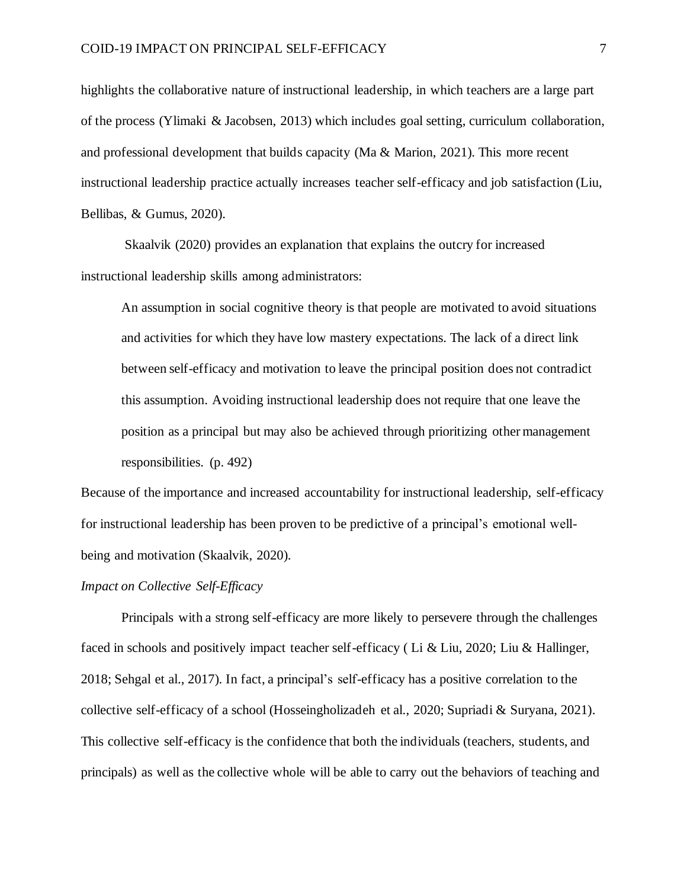highlights the collaborative nature of instructional leadership, in which teachers are a large part of the process (Ylimaki & Jacobsen, 2013) which includes goal setting, curriculum collaboration, and professional development that builds capacity (Ma & Marion, 2021). This more recent instructional leadership practice actually increases teacher self-efficacy and job satisfaction (Liu, Bellibas, & Gumus, 2020).

Skaalvik (2020) provides an explanation that explains the outcry for increased instructional leadership skills among administrators:

An assumption in social cognitive theory is that people are motivated to avoid situations and activities for which they have low mastery expectations. The lack of a direct link between self-efficacy and motivation to leave the principal position does not contradict this assumption. Avoiding instructional leadership does not require that one leave the position as a principal but may also be achieved through prioritizing other management responsibilities. (p. 492)

Because of the importance and increased accountability for instructional leadership, self-efficacy for instructional leadership has been proven to be predictive of a principal's emotional wellbeing and motivation (Skaalvik, 2020).

### *Impact on Collective Self-Efficacy*

Principals with a strong self-efficacy are more likely to persevere through the challenges faced in schools and positively impact teacher self-efficacy ( Li & Liu, 2020; Liu & Hallinger, 2018; Sehgal et al., 2017). In fact, a principal's self-efficacy has a positive correlation to the collective self-efficacy of a school (Hosseingholizadeh et al., 2020; Supriadi & Suryana, 2021). This collective self-efficacy is the confidence that both the individuals (teachers, students, and principals) as well as the collective whole will be able to carry out the behaviors of teaching and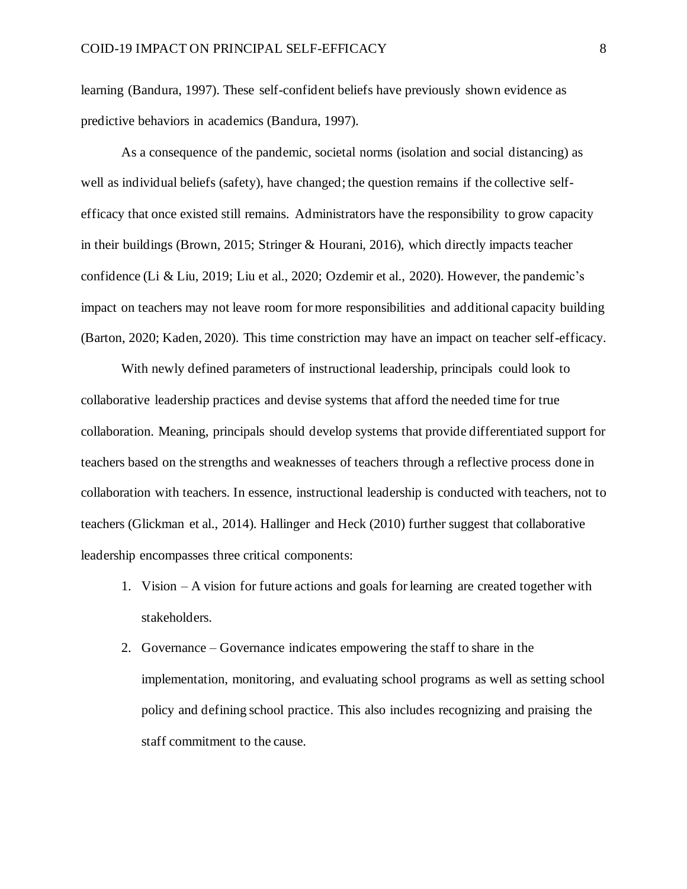learning (Bandura, 1997). These self-confident beliefs have previously shown evidence as predictive behaviors in academics (Bandura, 1997).

As a consequence of the pandemic, societal norms (isolation and social distancing) as well as individual beliefs (safety), have changed; the question remains if the collective selfefficacy that once existed still remains. Administrators have the responsibility to grow capacity in their buildings (Brown, 2015; Stringer & Hourani, 2016), which directly impacts teacher confidence (Li & Liu, 2019; Liu et al., 2020; Ozdemir et al., 2020). However, the pandemic's impact on teachers may not leave room for more responsibilities and additional capacity building (Barton, 2020; Kaden, 2020). This time constriction may have an impact on teacher self-efficacy.

With newly defined parameters of instructional leadership, principals could look to collaborative leadership practices and devise systems that afford the needed time for true collaboration. Meaning, principals should develop systems that provide differentiated support for teachers based on the strengths and weaknesses of teachers through a reflective process done in collaboration with teachers. In essence, instructional leadership is conducted with teachers, not to teachers (Glickman et al., 2014). Hallinger and Heck (2010) further suggest that collaborative leadership encompasses three critical components:

- 1. Vision A vision for future actions and goals for learning are created together with stakeholders.
- 2. Governance Governance indicates empowering the staff to share in the implementation, monitoring, and evaluating school programs as well as setting school policy and defining school practice. This also includes recognizing and praising the staff commitment to the cause.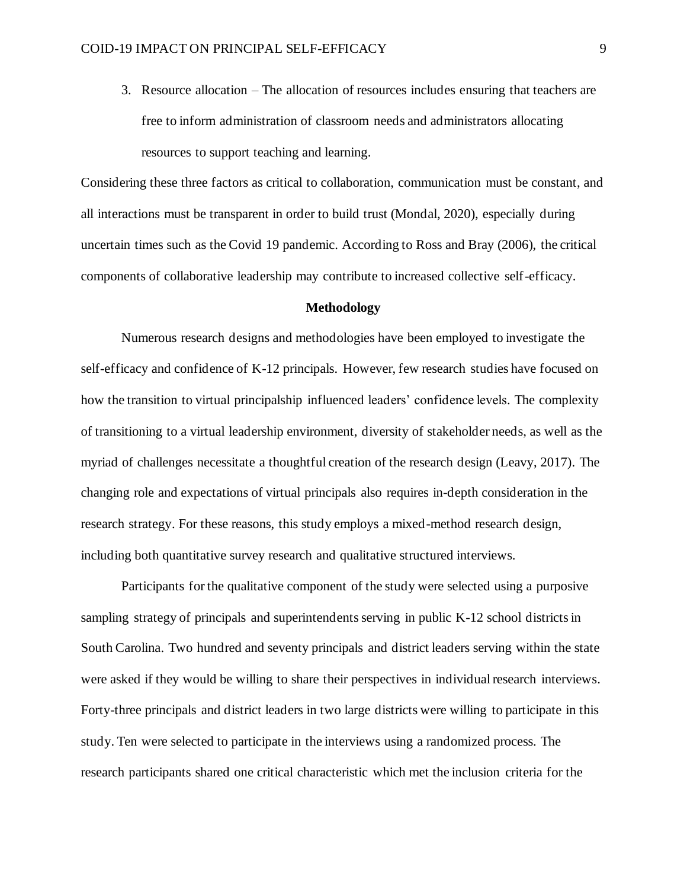3. Resource allocation – The allocation of resources includes ensuring that teachers are free to inform administration of classroom needs and administrators allocating resources to support teaching and learning.

Considering these three factors as critical to collaboration, communication must be constant, and all interactions must be transparent in order to build trust (Mondal, 2020), especially during uncertain times such as the Covid 19 pandemic. According to Ross and Bray (2006), the critical components of collaborative leadership may contribute to increased collective self-efficacy.

#### **Methodology**

Numerous research designs and methodologies have been employed to investigate the self-efficacy and confidence of K-12 principals. However, few research studies have focused on how the transition to virtual principalship influenced leaders' confidence levels. The complexity of transitioning to a virtual leadership environment, diversity of stakeholder needs, as well as the myriad of challenges necessitate a thoughtful creation of the research design (Leavy, 2017). The changing role and expectations of virtual principals also requires in-depth consideration in the research strategy. For these reasons, this study employs a mixed-method research design, including both quantitative survey research and qualitative structured interviews.

Participants for the qualitative component of the study were selected using a purposive sampling strategy of principals and superintendents serving in public K-12 school districts in South Carolina. Two hundred and seventy principals and district leaders serving within the state were asked if they would be willing to share their perspectives in individual research interviews. Forty-three principals and district leaders in two large districts were willing to participate in this study. Ten were selected to participate in the interviews using a randomized process. The research participants shared one critical characteristic which met the inclusion criteria for the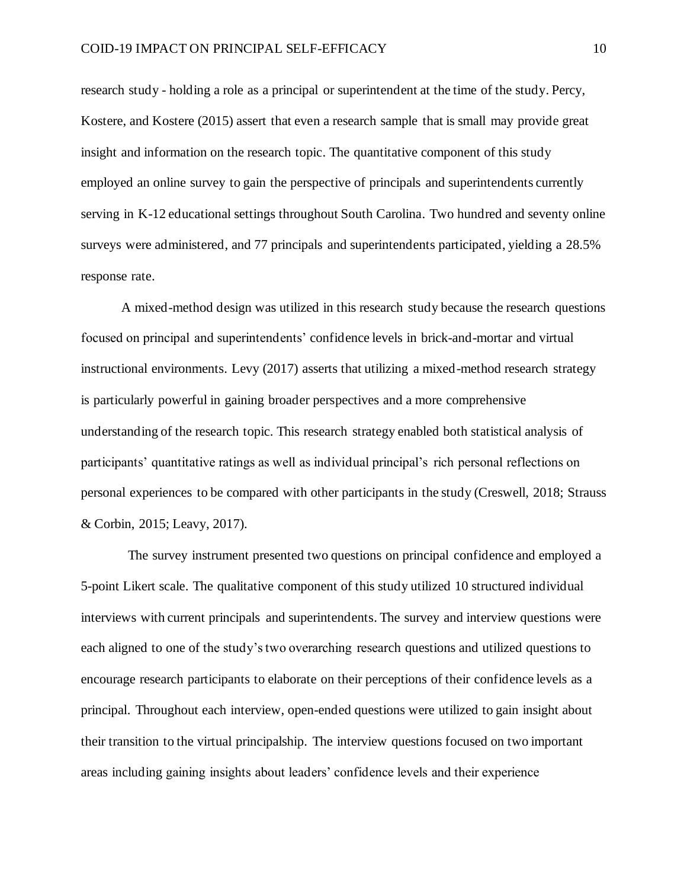research study - holding a role as a principal or superintendent at the time of the study. Percy, Kostere, and Kostere (2015) assert that even a research sample that is small may provide great insight and information on the research topic. The quantitative component of this study employed an online survey to gain the perspective of principals and superintendents currently serving in K-12 educational settings throughout South Carolina. Two hundred and seventy online surveys were administered, and 77 principals and superintendents participated, yielding a 28.5% response rate.

A mixed-method design was utilized in this research study because the research questions focused on principal and superintendents' confidence levels in brick-and-mortar and virtual instructional environments. Levy (2017) asserts that utilizing a mixed-method research strategy is particularly powerful in gaining broader perspectives and a more comprehensive understanding of the research topic. This research strategy enabled both statistical analysis of participants' quantitative ratings as well as individual principal's rich personal reflections on personal experiences to be compared with other participants in the study (Creswell, 2018; Strauss & Corbin, 2015; Leavy, 2017).

The survey instrument presented two questions on principal confidence and employed a 5-point Likert scale. The qualitative component of this study utilized 10 structured individual interviews with current principals and superintendents. The survey and interview questions were each aligned to one of the study's two overarching research questions and utilized questions to encourage research participants to elaborate on their perceptions of their confidence levels as a principal. Throughout each interview, open-ended questions were utilized to gain insight about their transition to the virtual principalship. The interview questions focused on two important areas including gaining insights about leaders' confidence levels and their experience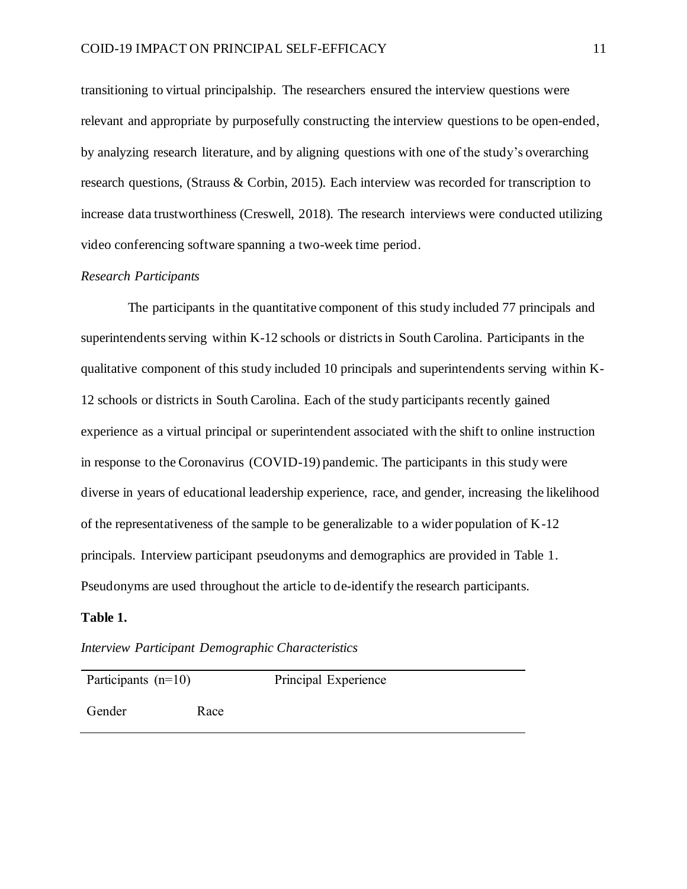transitioning to virtual principalship. The researchers ensured the interview questions were relevant and appropriate by purposefully constructing the interview questions to be open-ended, by analyzing research literature, and by aligning questions with one of the study's overarching research questions, (Strauss & Corbin, 2015). Each interview was recorded for transcription to increase data trustworthiness (Creswell, 2018). The research interviews were conducted utilizing video conferencing software spanning a two-week time period.

#### *Research Participants*

The participants in the quantitative component of this study included 77 principals and superintendents serving within K-12 schools or districts in South Carolina. Participants in the qualitative component of this study included 10 principals and superintendents serving within K-12 schools or districts in South Carolina. Each of the study participants recently gained experience as a virtual principal or superintendent associated with the shift to online instruction in response to the Coronavirus (COVID-19) pandemic. The participants in this study were diverse in years of educational leadership experience, race, and gender, increasing the likelihood of the representativeness of the sample to be generalizable to a wider population of K-12 principals. Interview participant pseudonyms and demographics are provided in Table 1. Pseudonyms are used throughout the article to de-identify the research participants.

## **Table 1.**

*Interview Participant Demographic Characteristics* 

| Participants $(n=10)$ |      | Principal Experience |
|-----------------------|------|----------------------|
| Gender                | Race |                      |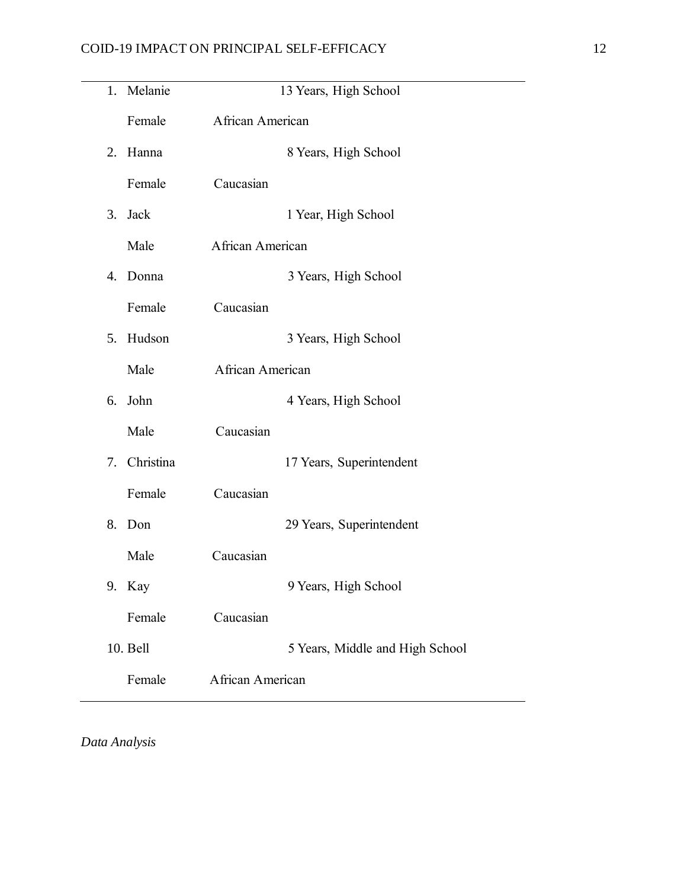$\overline{\phantom{0}}$ 

|    | 1. Melanie | 13 Years, High School           |
|----|------------|---------------------------------|
|    | Female     | African American                |
| 2. | Hanna      | 8 Years, High School            |
|    | Female     | Caucasian                       |
| 3. | Jack       | 1 Year, High School             |
|    | Male       | African American                |
|    | 4. Donna   | 3 Years, High School            |
|    | Female     | Caucasian                       |
|    | 5. Hudson  | 3 Years, High School            |
|    | Male       | African American                |
| 6. | John       | 4 Years, High School            |
|    | Male       | Caucasian                       |
| 7. | Christina  | 17 Years, Superintendent        |
|    | Female     | Caucasian                       |
| 8. | Don        | 29 Years, Superintendent        |
|    | Male       | Caucasian                       |
|    | 9. Kay     | 9 Years, High School            |
|    | Female     | Caucasian                       |
|    | 10. Bell   | 5 Years, Middle and High School |
|    | Female     | African American                |

*Data Analysis*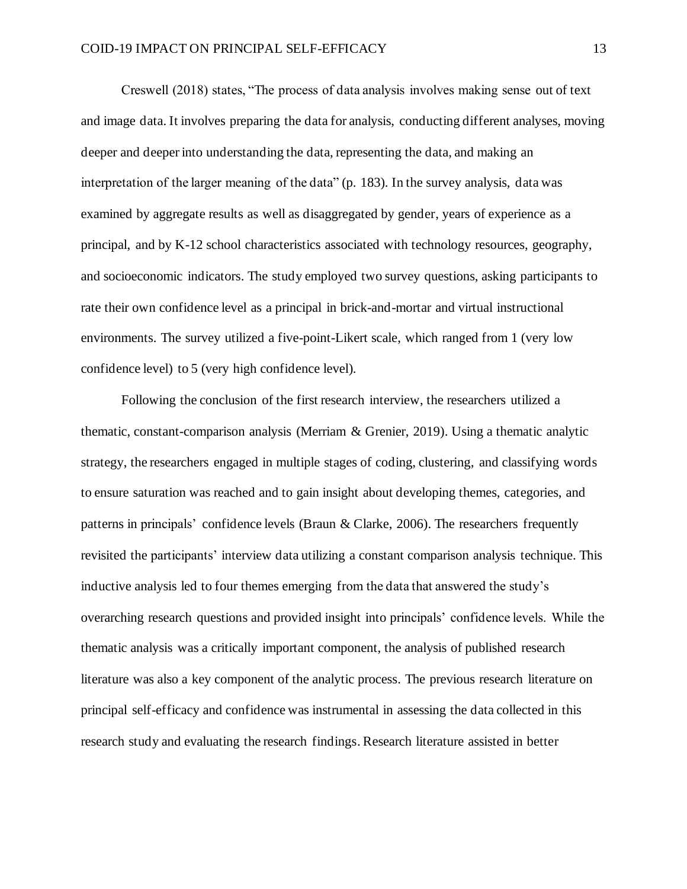Creswell (2018) states, "The process of data analysis involves making sense out of text and image data. It involves preparing the data for analysis, conducting different analyses, moving deeper and deeper into understanding the data, representing the data, and making an interpretation of the larger meaning of the data" (p. 183). In the survey analysis, data was examined by aggregate results as well as disaggregated by gender, years of experience as a principal, and by K-12 school characteristics associated with technology resources, geography, and socioeconomic indicators. The study employed two survey questions, asking participants to rate their own confidence level as a principal in brick-and-mortar and virtual instructional environments. The survey utilized a five-point-Likert scale, which ranged from 1 (very low confidence level) to 5 (very high confidence level).

Following the conclusion of the first research interview, the researchers utilized a thematic, constant-comparison analysis (Merriam & Grenier, 2019). Using a thematic analytic strategy, the researchers engaged in multiple stages of coding, clustering, and classifying words to ensure saturation was reached and to gain insight about developing themes, categories, and patterns in principals' confidence levels (Braun & Clarke, 2006). The researchers frequently revisited the participants' interview data utilizing a constant comparison analysis technique. This inductive analysis led to four themes emerging from the data that answered the study's overarching research questions and provided insight into principals' confidence levels. While the thematic analysis was a critically important component, the analysis of published research literature was also a key component of the analytic process. The previous research literature on principal self-efficacy and confidence was instrumental in assessing the data collected in this research study and evaluating the research findings. Research literature assisted in better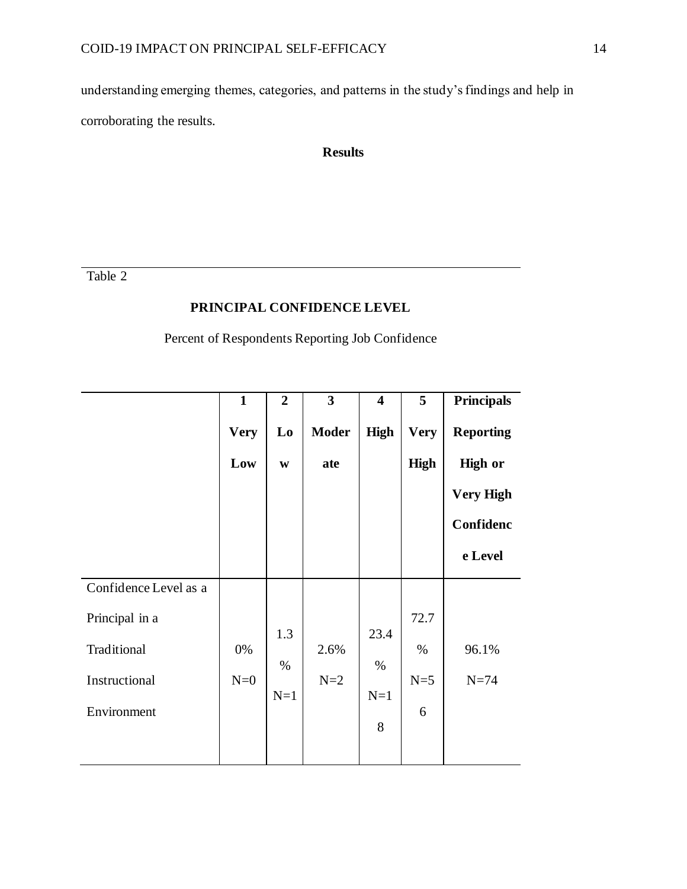understanding emerging themes, categories, and patterns in the study's findings and help in corroborating the results.

# **Results**

Table 2

## **PRINCIPAL CONFIDENCE LEVEL**

Percent of Respondents Reporting Job Confidence

|                       | $\mathbf{1}$ | $\overline{2}$ | $\overline{\mathbf{3}}$ | $\overline{\mathbf{4}}$ | 5           | <b>Principals</b> |
|-----------------------|--------------|----------------|-------------------------|-------------------------|-------------|-------------------|
|                       | <b>Very</b>  | Lo             | <b>Moder</b>            | <b>High</b>             | <b>Very</b> | <b>Reporting</b>  |
|                       | Low          | $\mathbf{W}$   | ate                     |                         | <b>High</b> | <b>High or</b>    |
|                       |              |                |                         |                         |             | <b>Very High</b>  |
|                       |              |                |                         |                         |             | Confidenc         |
|                       |              |                |                         |                         |             | e Level           |
| Confidence Level as a |              |                |                         |                         |             |                   |
| Principal in a        |              |                |                         |                         | 72.7        |                   |
| Traditional           | 0%           | 1.3<br>$\%$    | 2.6%                    | 23.4<br>$\%$            | $\%$        | 96.1%             |
| Instructional         | $N=0$        |                | $N=2$                   |                         | $N=5$       | $N=74$            |
| Environment           |              | $N=1$          |                         | $N=1$<br>8              | 6           |                   |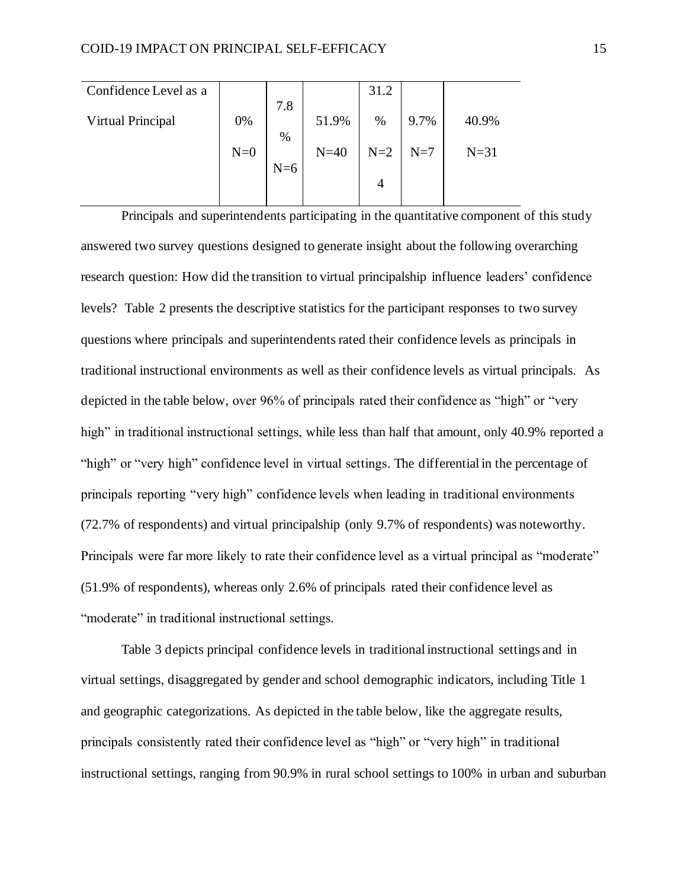| Confidence Level as a |       |       |        | 31.2  |       |        |
|-----------------------|-------|-------|--------|-------|-------|--------|
|                       |       | 7.8   |        |       |       |        |
| Virtual Principal     | 0%    | %     | 51.9%  | %     | 9.7%  | 40.9%  |
|                       | $N=0$ |       | $N=40$ | $N=2$ | $N=7$ | $N=31$ |
|                       |       | $N=6$ |        |       |       |        |
|                       |       |       |        | 4     |       |        |
|                       |       |       |        |       |       |        |

Principals and superintendents participating in the quantitative component of this study answered two survey questions designed to generate insight about the following overarching research question: How did the transition to virtual principalship influence leaders' confidence levels? Table 2 presents the descriptive statistics for the participant responses to two survey questions where principals and superintendents rated their confidence levels as principals in traditional instructional environments as well as their confidence levels as virtual principals. As depicted in the table below, over 96% of principals rated their confidence as "high" or "very high" in traditional instructional settings, while less than half that amount, only 40.9% reported a "high" or "very high" confidence level in virtual settings. The differential in the percentage of principals reporting "very high" confidence levels when leading in traditional environments (72.7% of respondents) and virtual principalship (only 9.7% of respondents) was noteworthy. Principals were far more likely to rate their confidence level as a virtual principal as "moderate" (51.9% of respondents), whereas only 2.6% of principals rated their confidence level as "moderate" in traditional instructional settings.

Table 3 depicts principal confidence levels in traditional instructional settings and in virtual settings, disaggregated by gender and school demographic indicators, including Title 1 and geographic categorizations. As depicted in the table below, like the aggregate results, principals consistently rated their confidence level as "high" or "very high" in traditional instructional settings, ranging from 90.9% in rural school settings to 100% in urban and suburban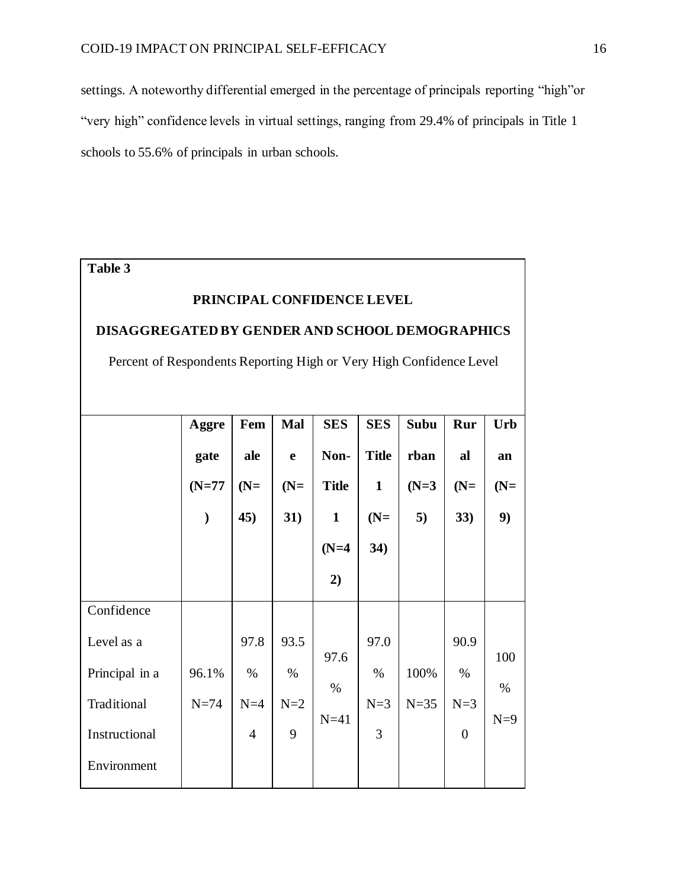settings. A noteworthy differential emerged in the percentage of principals reporting "high"or "very high" confidence levels in virtual settings, ranging from 29.4% of principals in Title 1 schools to 55.6% of principals in urban schools.

| Table 3                                                             |               |                |             |              |              |             |                |       |  |  |
|---------------------------------------------------------------------|---------------|----------------|-------------|--------------|--------------|-------------|----------------|-------|--|--|
| PRINCIPAL CONFIDENCE LEVEL                                          |               |                |             |              |              |             |                |       |  |  |
| <b>DISAGGREGATED BY GENDER AND SCHOOL DEMOGRAPHICS</b>              |               |                |             |              |              |             |                |       |  |  |
| Percent of Respondents Reporting High or Very High Confidence Level |               |                |             |              |              |             |                |       |  |  |
|                                                                     |               |                |             |              |              |             |                |       |  |  |
|                                                                     |               |                |             |              |              |             |                |       |  |  |
|                                                                     | Aggre         | Fem            | Mal         | <b>SES</b>   | <b>SES</b>   | <b>Subu</b> | Rur            | Urb   |  |  |
|                                                                     | gate          | ale            | $\mathbf e$ | Non-         | <b>Title</b> | rban        | al             | an    |  |  |
|                                                                     | $(N=77)$      | $(N=$          | $(N=$       | <b>Title</b> | $\mathbf{1}$ | $(N=3)$     | $(N=$          | $(N=$ |  |  |
|                                                                     | $\mathcal{E}$ | 45)            | 31)         | $\mathbf{1}$ | $(N=$        | 5)          | 33)            | 9)    |  |  |
|                                                                     |               |                |             | $(N=4)$      | 34)          |             |                |       |  |  |
|                                                                     |               |                |             | 2)           |              |             |                |       |  |  |
| Confidence                                                          |               |                |             |              |              |             |                |       |  |  |
| Level as a                                                          |               | 97.8           | 93.5        |              | 97.0         |             | 90.9           |       |  |  |
|                                                                     | 96.1%         | $\%$           | $\%$        | 97.6         | $\%$         | 100%        | $\%$           | 100   |  |  |
| Principal in a                                                      |               |                |             | $\%$         |              |             |                | $\%$  |  |  |
| Traditional                                                         | $N=74$        | $N=4$          | $N=2$       |              | $N=3$        | $N=35$      | $N=3$          |       |  |  |
| Instructional                                                       |               | $\overline{4}$ | 9           | $N=41$       | 3            |             | $\overline{0}$ | $N=9$ |  |  |
| Environment                                                         |               |                |             |              |              |             |                |       |  |  |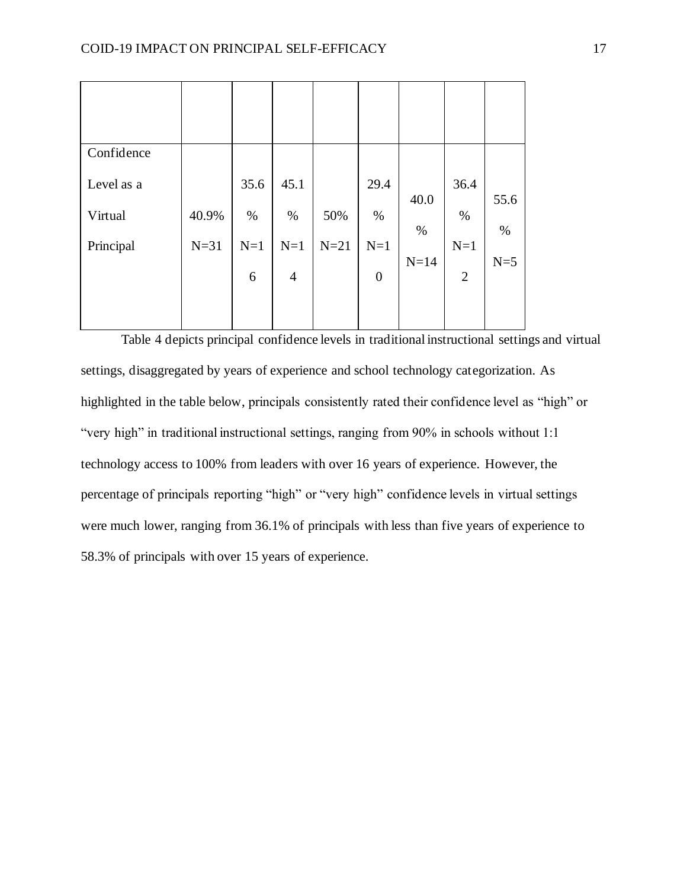| Confidence |        |       |                |        |                  |        |                |       |
|------------|--------|-------|----------------|--------|------------------|--------|----------------|-------|
| Level as a |        | 35.6  | 45.1           |        | 29.4             |        | 36.4           |       |
| Virtual    | 40.9%  | $\%$  | $\%$           | 50%    | $\%$             | 40.0   | $\%$           | 55.6  |
|            |        |       |                |        |                  | $\%$   |                | $\%$  |
| Principal  | $N=31$ | $N=1$ | $N=1$          | $N=21$ | $N=1$            |        | $N=1$          |       |
|            |        | 6     | $\overline{4}$ |        | $\boldsymbol{0}$ | $N=14$ | $\overline{2}$ | $N=5$ |
|            |        |       |                |        |                  |        |                |       |
|            |        |       |                |        |                  |        |                |       |

Table 4 depicts principal confidence levels in traditional instructional settings and virtual settings, disaggregated by years of experience and school technology categorization. As highlighted in the table below, principals consistently rated their confidence level as "high" or "very high" in traditional instructional settings, ranging from 90% in schools without 1:1 technology access to 100% from leaders with over 16 years of experience. However, the percentage of principals reporting "high" or "very high" confidence levels in virtual settings were much lower, ranging from 36.1% of principals with less than five years of experience to 58.3% of principals with over 15 years of experience.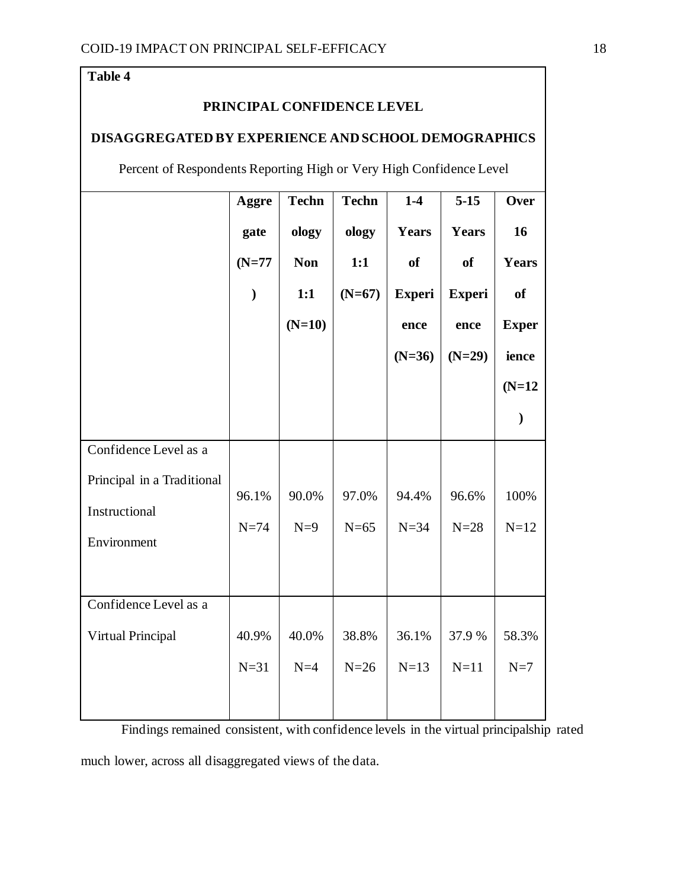# **Table 4**

# **PRINCIPAL CONFIDENCE LEVEL**

# **DISAGGREGATED BY EXPERIENCE AND SCHOOL DEMOGRAPHICS**

Percent of Respondents Reporting High or Very High Confidence Level

|                            | Aggre         | <b>Techn</b> | <b>Techn</b> | $1-4$         | $5-15$        | Over          |
|----------------------------|---------------|--------------|--------------|---------------|---------------|---------------|
|                            | gate          | ology        | ology        | Years         | <b>Years</b>  | 16            |
|                            | $(N=77)$      | <b>Non</b>   | 1:1          | <b>of</b>     | <b>of</b>     | Years         |
|                            | $\mathcal{E}$ | 1:1          | $(N=67)$     | <b>Experi</b> | <b>Experi</b> | of            |
|                            |               | $(N=10)$     |              | ence          | ence          | <b>Exper</b>  |
|                            |               |              |              | $(N=36)$      | $(N=29)$      | ience         |
|                            |               |              |              |               |               | $(N=12)$      |
|                            |               |              |              |               |               | $\mathcal{E}$ |
| Confidence Level as a      |               |              |              |               |               |               |
| Principal in a Traditional | 96.1%         | 90.0%        | 97.0%        | 94.4%         | 96.6%         | 100%          |
| Instructional              | $N=74$        | $N=9$        | $N=65$       | $N=34$        | $N=28$        | $N=12$        |
| Environment                |               |              |              |               |               |               |
|                            |               |              |              |               |               |               |
| Confidence Level as a      |               |              |              |               |               |               |
| <b>Virtual Principal</b>   | 40.9%         | 40.0%        | 38.8%        | 36.1%         | 37.9 %        | 58.3%         |
|                            | $N=31$        | $N=4$        | $N=26$       | $N=13$        | $N=11$        | $N=7$         |
|                            |               |              |              |               |               |               |

Findings remained consistent, with confidence levels in the virtual principalship rated

much lower, across all disaggregated views of the data.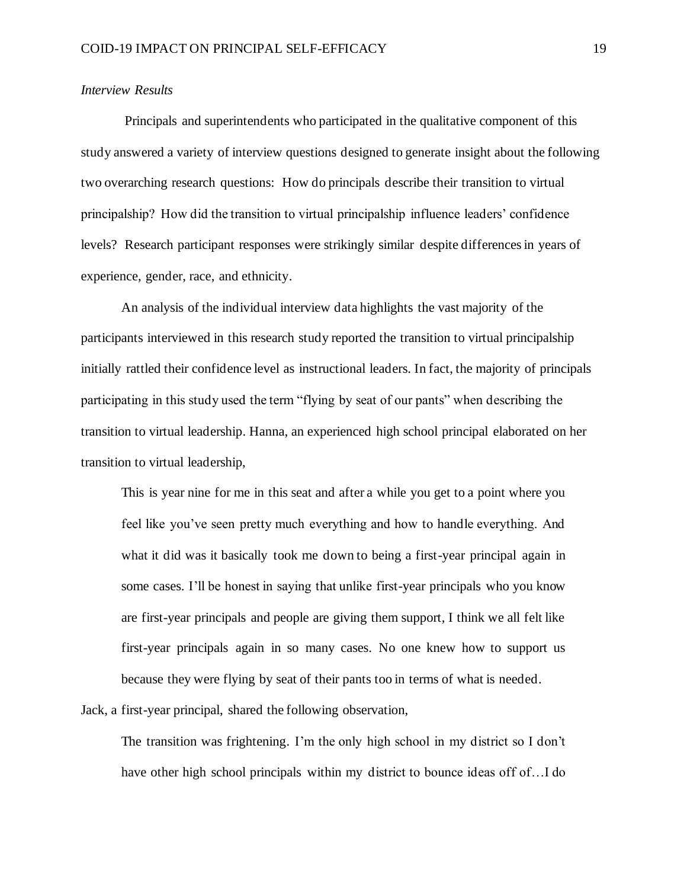### *Interview Results*

 Principals and superintendents who participated in the qualitative component of this study answered a variety of interview questions designed to generate insight about the following two overarching research questions: How do principals describe their transition to virtual principalship? How did the transition to virtual principalship influence leaders' confidence levels? Research participant responses were strikingly similar despite differences in years of experience, gender, race, and ethnicity.

 An analysis of the individual interview data highlights the vast majority of the participants interviewed in this research study reported the transition to virtual principalship initially rattled their confidence level as instructional leaders. In fact, the majority of principals participating in this study used the term "flying by seat of our pants" when describing the transition to virtual leadership. Hanna, an experienced high school principal elaborated on her transition to virtual leadership,

This is year nine for me in this seat and after a while you get to a point where you feel like you've seen pretty much everything and how to handle everything. And what it did was it basically took me down to being a first-year principal again in some cases. I'll be honest in saying that unlike first-year principals who you know are first-year principals and people are giving them support, I think we all felt like first-year principals again in so many cases. No one knew how to support us because they were flying by seat of their pants too in terms of what is needed.

Jack, a first-year principal, shared the following observation,

The transition was frightening. I'm the only high school in my district so I don't have other high school principals within my district to bounce ideas off of…I do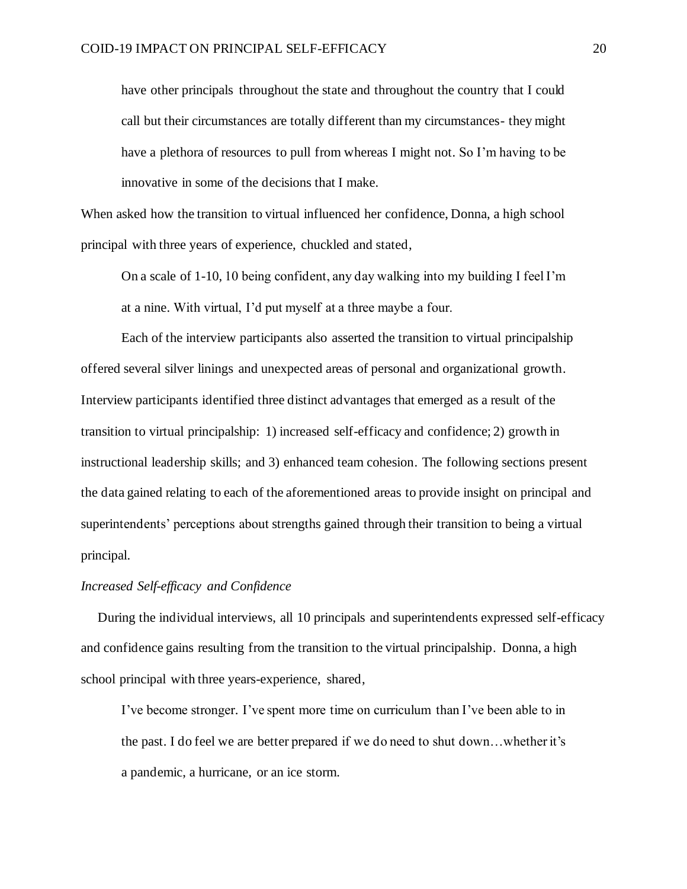have other principals throughout the state and throughout the country that I could call but their circumstances are totally different than my circumstances- they might have a plethora of resources to pull from whereas I might not. So I'm having to be innovative in some of the decisions that I make.

When asked how the transition to virtual influenced her confidence, Donna, a high school principal with three years of experience, chuckled and stated,

On a scale of 1-10, 10 being confident, any day walking into my building I feel I'm at a nine. With virtual, I'd put myself at a three maybe a four.

 Each of the interview participants also asserted the transition to virtual principalship offered several silver linings and unexpected areas of personal and organizational growth. Interview participants identified three distinct advantages that emerged as a result of the transition to virtual principalship: 1) increased self-efficacy and confidence; 2) growth in instructional leadership skills; and 3) enhanced team cohesion. The following sections present the data gained relating to each of the aforementioned areas to provide insight on principal and superintendents' perceptions about strengths gained through their transition to being a virtual principal.

## *Increased Self-efficacy and Confidence*

 During the individual interviews, all 10 principals and superintendents expressed self-efficacy and confidence gains resulting from the transition to the virtual principalship. Donna, a high school principal with three years-experience, shared,

I've become stronger. I've spent more time on curriculum than I've been able to in the past. I do feel we are better prepared if we do need to shut down…whether it's a pandemic, a hurricane, or an ice storm.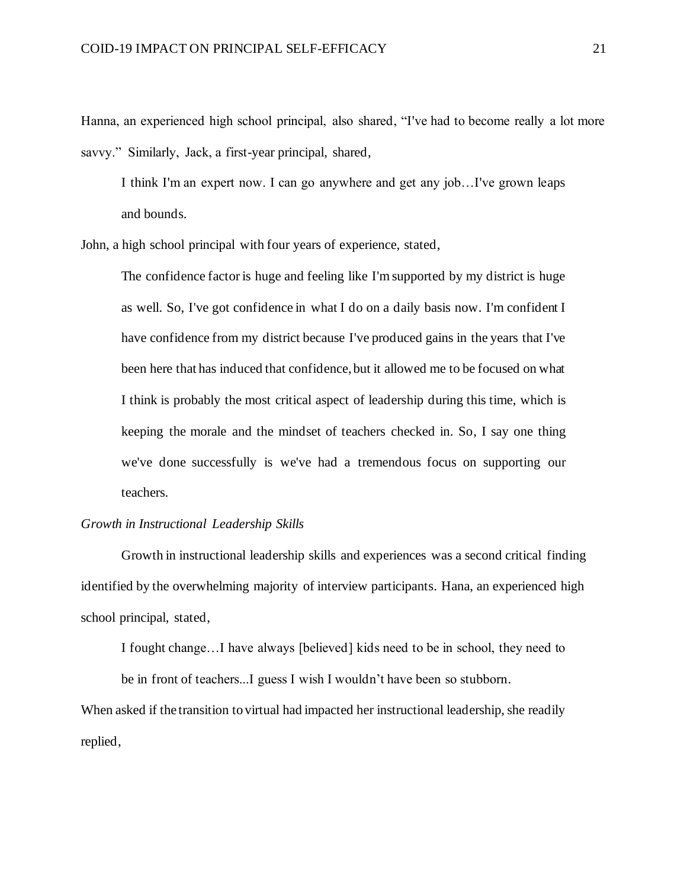Hanna, an experienced high school principal, also shared, "I've had to become really a lot more savvy." Similarly, Jack, a first-year principal, shared,

I think I'm an expert now. I can go anywhere and get any job…I've grown leaps and bounds.

John, a high school principal with four years of experience, stated,

The confidence factor is huge and feeling like I'm supported by my district is huge as well. So, I've got confidence in what I do on a daily basis now. I'm confident I have confidence from my district because I've produced gains in the years that I've been here that has induced that confidence, but it allowed me to be focused on what I think is probably the most critical aspect of leadership during this time, which is keeping the morale and the mindset of teachers checked in. So, I say one thing we've done successfully is we've had a tremendous focus on supporting our teachers.

#### *Growth in Instructional Leadership Skills*

 Growth in instructional leadership skills and experiences was a second critical finding identified by the overwhelming majority of interview participants. Hana, an experienced high school principal, stated,

I fought change…I have always [believed] kids need to be in school, they need to be in front of teachers...I guess I wish I wouldn't have been so stubborn.

When asked if the transition to virtual had impacted her instructional leadership, she readily replied,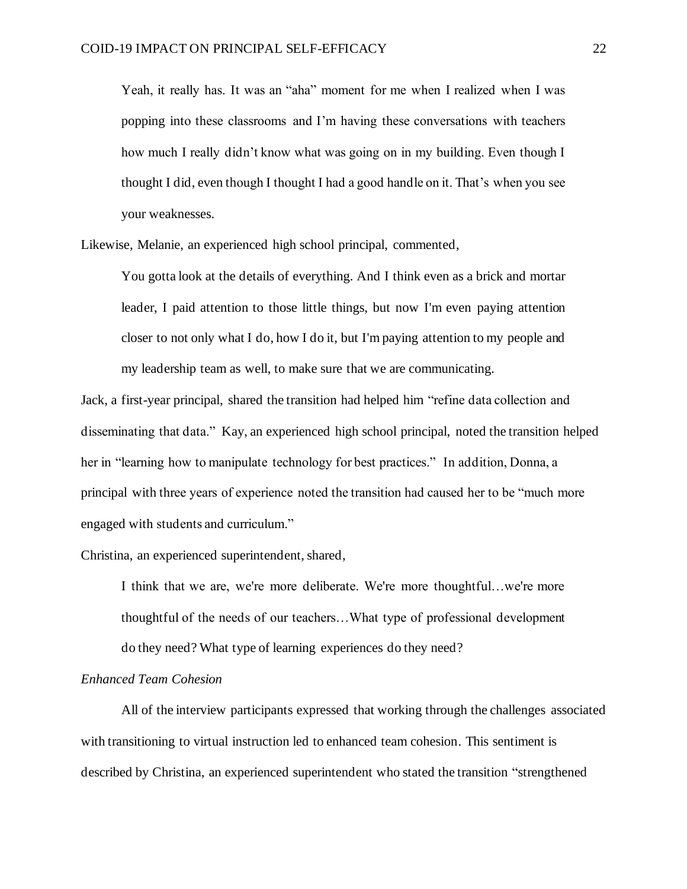Yeah, it really has. It was an "aha" moment for me when I realized when I was popping into these classrooms and I'm having these conversations with teachers how much I really didn't know what was going on in my building. Even though I thought I did, even though I thought I had a good handle on it. That's when you see your weaknesses.

Likewise, Melanie, an experienced high school principal, commented,

You gotta look at the details of everything. And I think even as a brick and mortar leader, I paid attention to those little things, but now I'm even paying attention closer to not only what I do, how I do it, but I'm paying attention to my people and my leadership team as well, to make sure that we are communicating.

Jack, a first-year principal, shared the transition had helped him "refine data collection and disseminating that data." Kay, an experienced high school principal, noted the transition helped her in "learning how to manipulate technology for best practices." In addition, Donna, a principal with three years of experience noted the transition had caused her to be "much more engaged with students and curriculum."

Christina, an experienced superintendent, shared,

I think that we are, we're more deliberate. We're more thoughtful…we're more thoughtful of the needs of our teachers…What type of professional development do they need? What type of learning experiences do they need?

### *Enhanced Team Cohesion*

 All of the interview participants expressed that working through the challenges associated with transitioning to virtual instruction led to enhanced team cohesion. This sentiment is described by Christina, an experienced superintendent who stated the transition "strengthened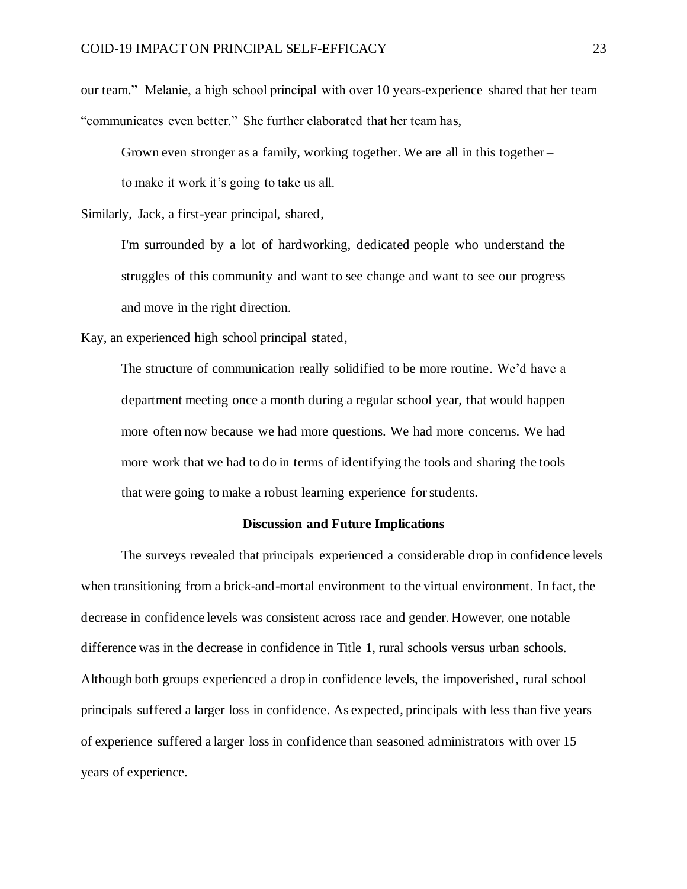our team." Melanie, a high school principal with over 10 years-experience shared that her team "communicates even better." She further elaborated that her team has,

Grown even stronger as a family, working together. We are all in this together –

to make it work it's going to take us all.

Similarly, Jack, a first-year principal, shared,

I'm surrounded by a lot of hardworking, dedicated people who understand the struggles of this community and want to see change and want to see our progress and move in the right direction.

Kay, an experienced high school principal stated,

The structure of communication really solidified to be more routine. We'd have a department meeting once a month during a regular school year, that would happen more often now because we had more questions. We had more concerns. We had more work that we had to do in terms of identifying the tools and sharing the tools that were going to make a robust learning experience for students.

#### **Discussion and Future Implications**

The surveys revealed that principals experienced a considerable drop in confidence levels when transitioning from a brick-and-mortal environment to the virtual environment. In fact, the decrease in confidence levels was consistent across race and gender. However, one notable difference was in the decrease in confidence in Title 1, rural schools versus urban schools. Although both groups experienced a drop in confidence levels, the impoverished, rural school principals suffered a larger loss in confidence. As expected, principals with less than five years of experience suffered a larger loss in confidence than seasoned administrators with over 15 years of experience.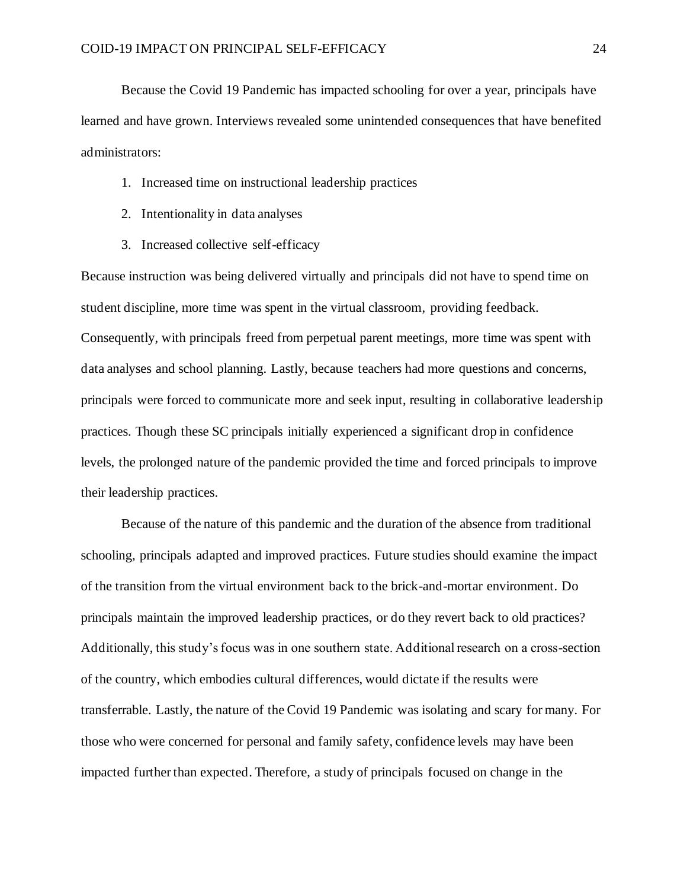Because the Covid 19 Pandemic has impacted schooling for over a year, principals have learned and have grown. Interviews revealed some unintended consequences that have benefited administrators:

- 1. Increased time on instructional leadership practices
- 2. Intentionality in data analyses
- 3. Increased collective self-efficacy

Because instruction was being delivered virtually and principals did not have to spend time on student discipline, more time was spent in the virtual classroom, providing feedback. Consequently, with principals freed from perpetual parent meetings, more time was spent with data analyses and school planning. Lastly, because teachers had more questions and concerns, principals were forced to communicate more and seek input, resulting in collaborative leadership practices. Though these SC principals initially experienced a significant drop in confidence levels, the prolonged nature of the pandemic provided the time and forced principals to improve their leadership practices.

Because of the nature of this pandemic and the duration of the absence from traditional schooling, principals adapted and improved practices. Future studies should examine the impact of the transition from the virtual environment back to the brick-and-mortar environment. Do principals maintain the improved leadership practices, or do they revert back to old practices? Additionally, this study's focus was in one southern state. Additional research on a cross-section of the country, which embodies cultural differences, would dictate if the results were transferrable. Lastly, the nature of the Covid 19 Pandemic was isolating and scary for many. For those who were concerned for personal and family safety, confidence levels may have been impacted further than expected. Therefore, a study of principals focused on change in the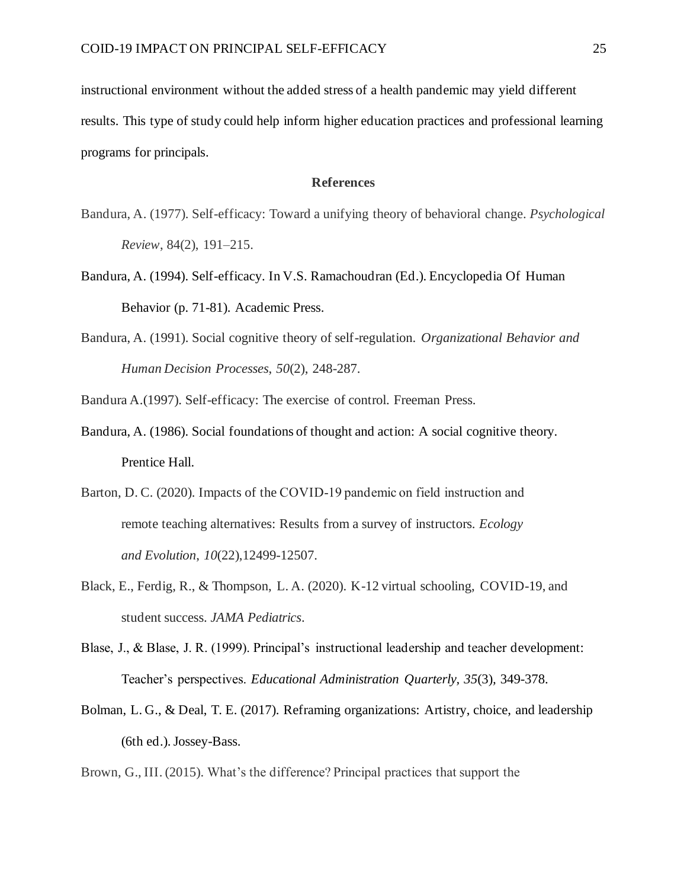instructional environment without the added stress of a health pandemic may yield different results. This type of study could help inform higher education practices and professional learning programs for principals.

#### **References**

- Bandura, A. (1977). Self-efficacy: Toward a unifying theory of behavioral change. *Psychological Review*, 84(2), 191–215.
- Bandura, A. (1994). Self-efficacy. In V.S. Ramachoudran (Ed.). Encyclopedia Of Human Behavior (p. 71-81). Academic Press.
- Bandura, A. (1991). Social cognitive theory of self-regulation. *Organizational Behavior and Human Decision Processes*, *50*(2), 248-287.
- Bandura A.(1997). Self-efficacy: The exercise of control. Freeman Press.
- Bandura, A. (1986). Social foundations of thought and action: A social cognitive theory. Prentice Hall.
- Barton, D. C. (2020). Impacts of the COVID‐19 pandemic on field instruction and remote teaching alternatives: Results from a survey of instructors. *Ecology and Evolution*, *10*(22),12499-12507.
- Black, E., Ferdig, R., & Thompson, L. A. (2020). K-12 virtual schooling, COVID-19, and student success. *JAMA Pediatrics*.
- Blase, J., & Blase, J. R. (1999). Principal's instructional leadership and teacher development: Teacher's perspectives. *Educational Administration Quarterly, 35*(3)*,* 349-378.
- Bolman, L. G., & Deal, T. E. (2017). Reframing organizations: Artistry, choice, and leadership (6th ed.). Jossey-Bass.

Brown, G., III. (2015). What's the difference? Principal practices that support the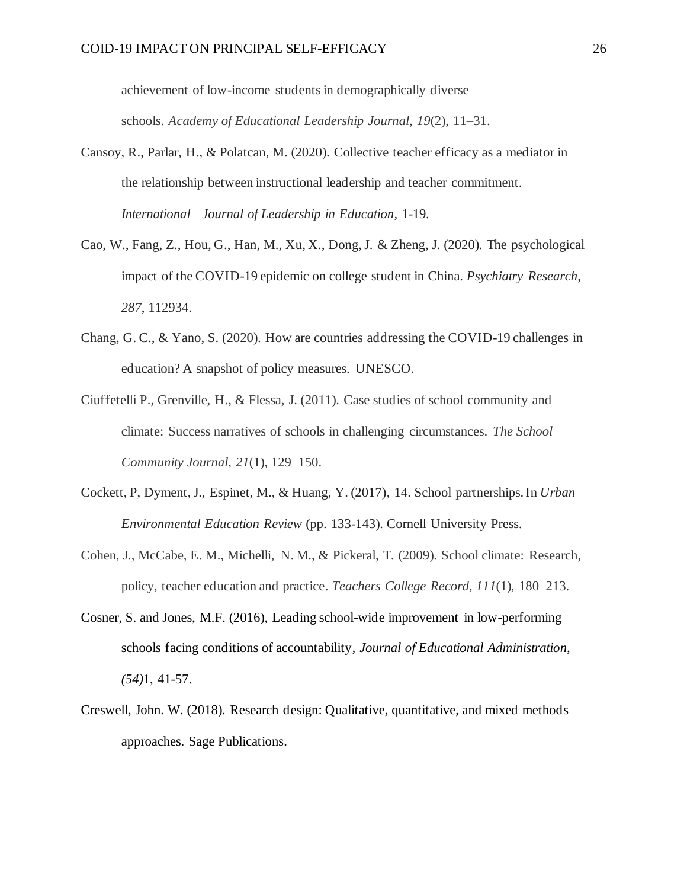achievement of low-income students in demographically diverse schools. *Academy of Educational Leadership Journal*, *19*(2), 11–31.

- Cansoy, R., Parlar, H., & Polatcan, M. (2020). Collective teacher efficacy as a mediator in the relationship between instructional leadership and teacher commitment. *International Journal of Leadership in Education,* 1-19*.*
- Cao, W., Fang, Z., Hou, G., Han, M., Xu, X., Dong, J. & Zheng, J. (2020). The psychological impact of the COVID-19 epidemic on college student in China. *Psychiatry Research, 287*, 112934.
- Chang, G. C., & Yano, S. (2020). How are countries addressing the COVID-19 challenges in education? A snapshot of policy measures. UNESCO.
- Ciuffetelli P., Grenville, H., & Flessa, J. (2011). Case studies of school community and climate: Success narratives of schools in challenging circumstances. *The School Community Journal*, *21*(1), 129–150.
- Cockett, P, Dyment, J., Espinet, M., & Huang, Y. (2017), 14. School partnerships.In *Urban Environmental Education Review* (pp. 133-143). Cornell University Press.
- Cohen, J., McCabe, E. M., Michelli, N. M., & Pickeral, T. (2009). School climate: Research, policy, teacher education and practice. *Teachers College Record*, *111*(1), 180–213.
- Cosner, S. and Jones, M.F. (2016), Leading school-wide improvement in low-performing schools facing conditions of accountability*, Journal of Educational Administration*, *(54)*1, 41-57.
- Creswell, John. W. (2018). Research design: Qualitative, quantitative, and mixed methods approaches. Sage Publications.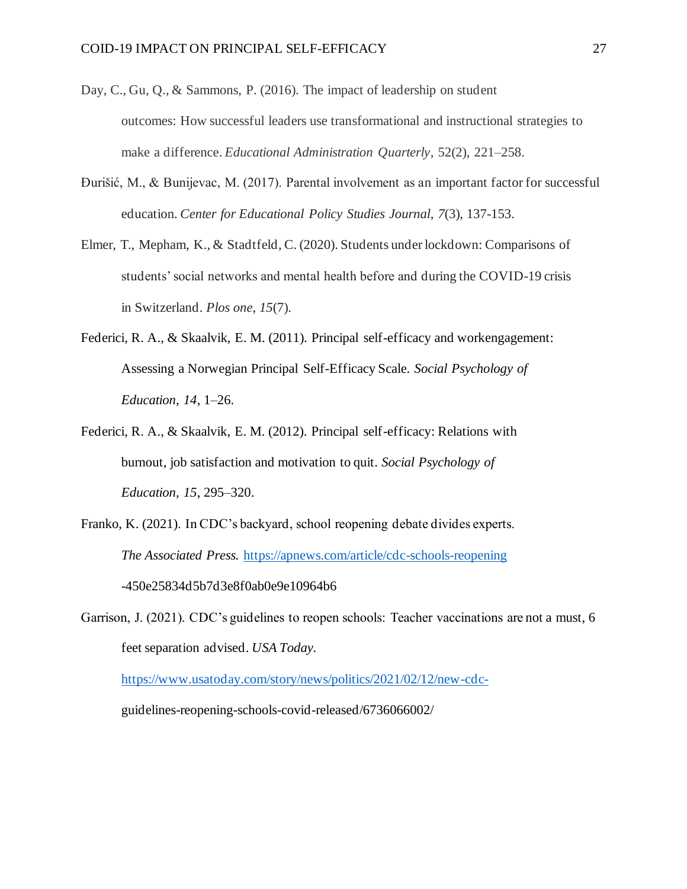- Day, C., Gu, Q., & Sammons, P. (2016). The impact of leadership on student outcomes: How successful leaders use transformational and instructional strategies to make a difference. *Educational Administration Quarterly*, 52(2), 221–258.
- Đurišić, M., & Bunijevac, M. (2017). Parental involvement as an important factor for successful education. *Center for Educational Policy Studies Journal*, *7*(3), 137-153.
- Elmer, T., Mepham, K., & Stadtfeld, C. (2020). Students under lockdown: Comparisons of students' social networks and mental health before and during the COVID-19 crisis in Switzerland. *Plos one*, *15*(7).
- Federici, R. A., & Skaalvik, E. M. (2011). Principal self-efficacy and workengagement: Assessing a Norwegian Principal Self-Efficacy Scale. *Social Psychology of Education, 14*, 1–26.
- Federici, R. A., & Skaalvik, E. M. (2012). Principal self-efficacy: Relations with burnout, job satisfaction and motivation to quit. *Social Psychology of Education, 15*, 295–320.
- Franko, K. (2021). In CDC's backyard, school reopening debate divides experts. *The Associated Press.* <https://apnews.com/article/cdc-schools-reopening> -450e25834d5b7d3e8f0ab0e9e10964b6
- Garrison, J. (2021). CDC's guidelines to reopen schools: Teacher vaccinations are not a must, 6 feet separation advised. *USA Today.*

<https://www.usatoday.com/story/news/politics/2021/02/12/new-cdc->

guidelines-reopening-schools-covid-released/6736066002/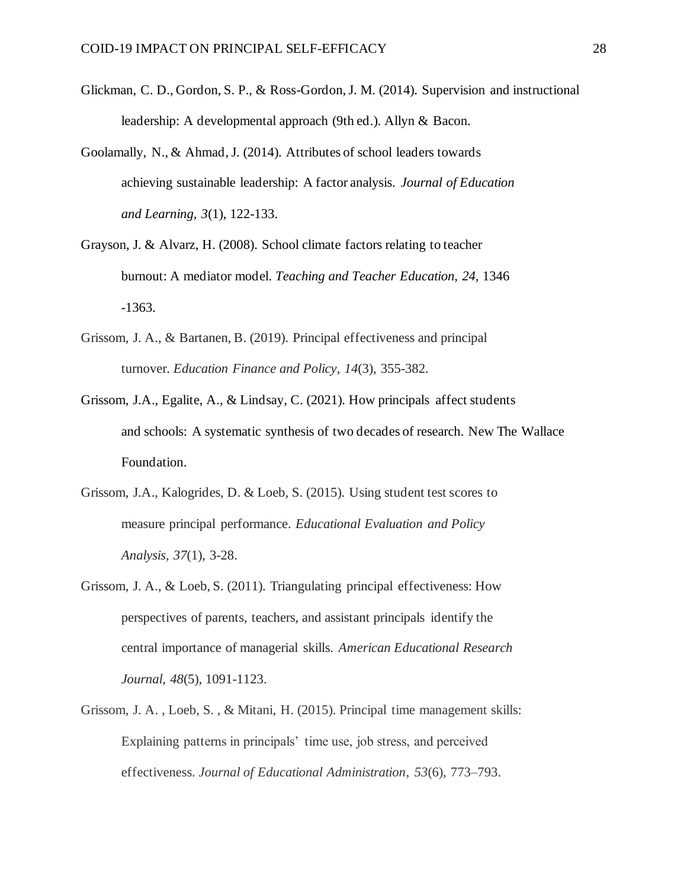- Glickman, C. D., Gordon, S. P., & Ross-Gordon, J. M. (2014). Supervision and instructional leadership: A developmental approach (9th ed.). Allyn & Bacon.
- Goolamally, N., & Ahmad, J. (2014). Attributes of school leaders towards achieving sustainable leadership: A factor analysis. *Journal of Education and Learning, 3*(1), 122-133.
- Grayson, J. & Alvarz, H. (2008). School climate factors relating to teacher burnout: A mediator model. *Teaching and Teacher Education, 24,* 1346 -1363.
- Grissom, J. A., & Bartanen, B. (2019). Principal effectiveness and principal turnover. *Education Finance and Policy*, *14*(3), 355-382.
- Grissom, J.A., Egalite, A., & Lindsay, C. (2021). How principals affect students and schools: A systematic synthesis of two decades of research. New The Wallace Foundation.
- Grissom, J.A., Kalogrides, D. & Loeb, S. (2015). Using student test scores to measure principal performance. *Educational Evaluation and Policy Analysis, 37*(1), 3-28.
- Grissom, J. A., & Loeb, S. (2011). Triangulating principal effectiveness: How perspectives of parents, teachers, and assistant principals identify the central importance of managerial skills. *American Educational Research Journal*, *48*(5), 1091-1123.
- Grissom, J. A. , Loeb, S. , & Mitani, H. (2015). Principal time management skills: Explaining patterns in principals' time use, job stress, and perceived effectiveness. *Journal of Educational Administration*, *53*(6), 773–793.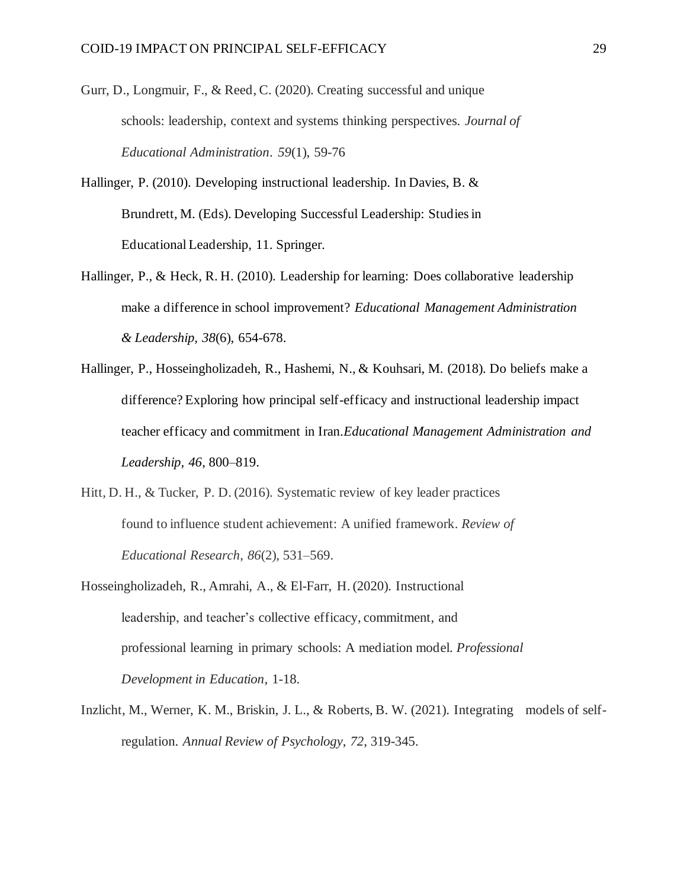- Gurr, D., Longmuir, F., & Reed, C. (2020). Creating successful and unique schools: leadership, context and systems thinking perspectives. *Journal of Educational Administration*. *59*(1), 59-76
- Hallinger, P. (2010). Developing instructional leadership. In Davies, B. & Brundrett, M. (Eds). Developing Successful Leadership: Studies in Educational Leadership, 11. Springer.
- Hallinger, P., & Heck, R. H. (2010). Leadership for learning: Does collaborative leadership make a difference in school improvement? *Educational Management Administration & Leadership, 38*(6), 654-678.
- Hallinger, P., Hosseingholizadeh, R., Hashemi, N., & Kouhsari, M. (2018). Do beliefs make a difference? Exploring how principal self-efficacy and instructional leadership impact teacher efficacy and commitment in Iran.*Educational Management Administration and Leadership, 46*, 800–819.
- Hitt, D. H., & Tucker, P. D. (2016). Systematic review of key leader practices found to influence student achievement: A unified framework. *Review of Educational Research*, *86*(2), 531–569.
- Hosseingholizadeh, R., Amrahi, A., & El-Farr, H. (2020). Instructional leadership, and teacher's collective efficacy, commitment, and professional learning in primary schools: A mediation model. *Professional Development in Education*, 1-18.
- Inzlicht, M., Werner, K. M., Briskin, J. L., & Roberts, B. W. (2021). Integrating models of selfregulation. *Annual Review of Psychology*, *72*, 319-345.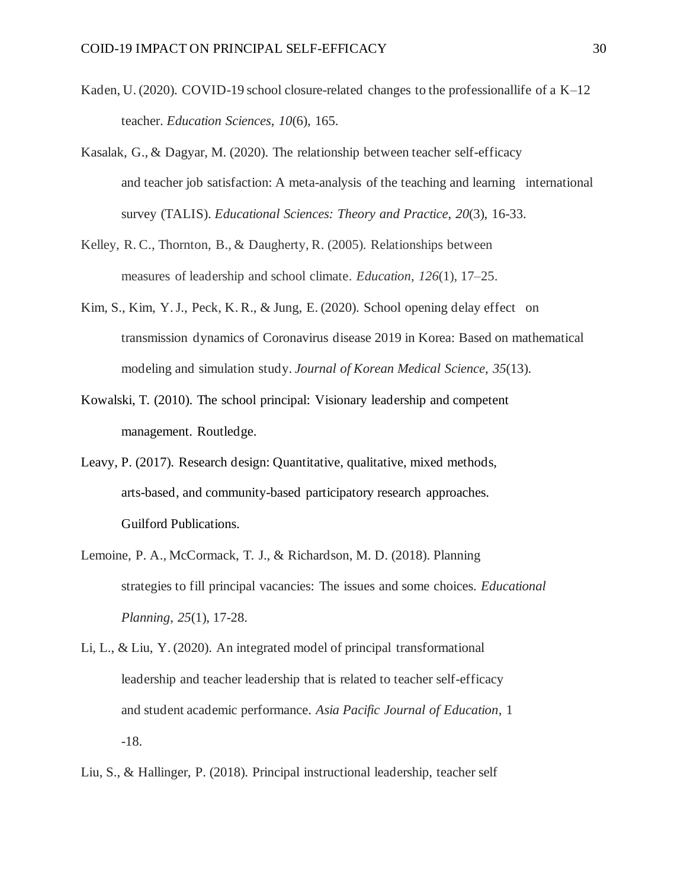- Kaden, U. (2020). COVID-19 school closure-related changes to the professionallife of a K–12 teacher. *Education Sciences*, *10*(6), 165.
- Kasalak, G., & Dagyar, M. (2020). The relationship between teacher self-efficacy and teacher job satisfaction: A meta-analysis of the teaching and learning international survey (TALIS). *Educational Sciences: Theory and Practice*, *20*(3), 16-33.
- Kelley, R. C., Thornton, B., & Daugherty, R. (2005). Relationships between measures of leadership and school climate. *Education*, *126*(1), 17–25.
- Kim, S., Kim, Y. J., Peck, K. R., & Jung, E. (2020). School opening delay effect on transmission dynamics of Coronavirus disease 2019 in Korea: Based on mathematical modeling and simulation study. *Journal of Korean Medical Science*, *35*(13).
- Kowalski, T. (2010). The school principal: Visionary leadership and competent management*.* Routledge.
- Leavy, P. (2017). Research design: Quantitative, qualitative, mixed methods, arts-based, and community-based participatory research approaches. Guilford Publications.
- Lemoine, P. A., McCormack, T. J., & Richardson, M. D. (2018). Planning strategies to fill principal vacancies: The issues and some choices. *Educational Planning*, *25*(1), 17-28.
- Li, L., & Liu, Y. (2020). An integrated model of principal transformational leadership and teacher leadership that is related to teacher self-efficacy and student academic performance. *Asia Pacific Journal of Education*, 1 -18.
- Liu, S., & Hallinger, P. (2018). Principal instructional leadership, teacher self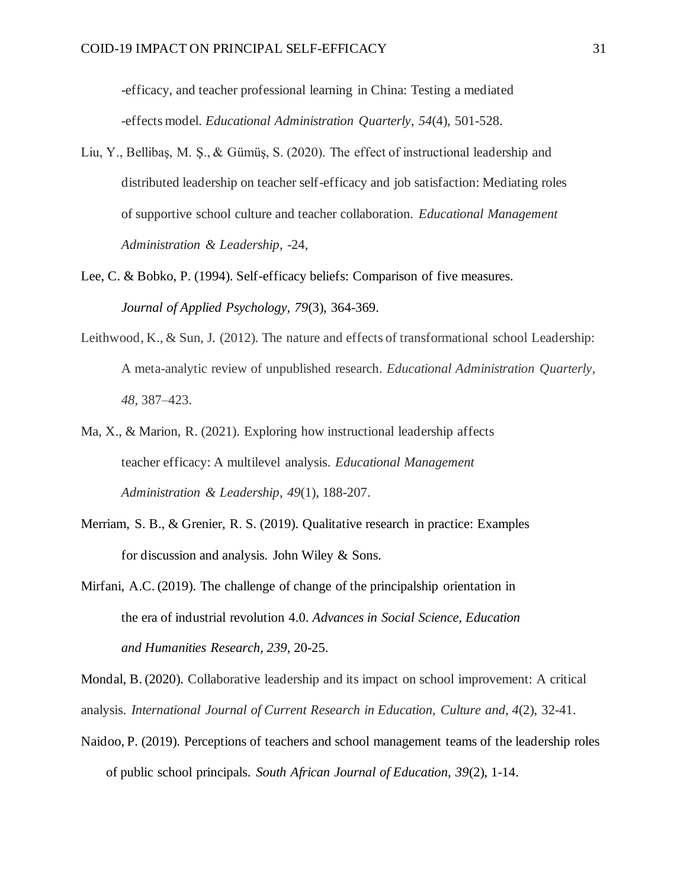-efficacy, and teacher professional learning in China: Testing a mediated -effects model. *Educational Administration Quarterly*, *54*(4), 501-528.

- Liu, Y., Bellibaş, M. Ş., & Gümüş, S. (2020). The effect of instructional leadership and distributed leadership on teacher self-efficacy and job satisfaction: Mediating roles of supportive school culture and teacher collaboration. *Educational Management Administration & Leadership*, -24,
- Lee, C. & Bobko, P. (1994). Self-efficacy beliefs: Comparison of five measures. *Journal of Applied Psychology, 79*(3), 364-369.
- Leithwood, K., & Sun, J. (2012). The nature and effects of transformational school Leadership: A meta-analytic review of unpublished research. *Educational Administration Quarterly*, *48*, 387–423.
- Ma, X., & Marion, R. (2021). Exploring how instructional leadership affects teacher efficacy: A multilevel analysis. *Educational Management Administration & Leadership*, *49*(1), 188-207.
- Merriam, S. B., & Grenier, R. S. (2019). Qualitative research in practice: Examples for discussion and analysis. John Wiley & Sons.
- Mirfani, A.C. (2019). The challenge of change of the principalship orientation in the era of industrial revolution 4.0. *Advances in Social Science, Education and Humanities Research, 239,* 20-25.

Mondal, B. (2020). Collaborative leadership and its impact on school improvement: A critical analysis. *International Journal of Current Research in Education, Culture and*, *4*(2), 32-41.

Naidoo, P. (2019). Perceptions of teachers and school management teams of the leadership roles of public school principals. *South African Journal of Education, 39*(2), 1-14.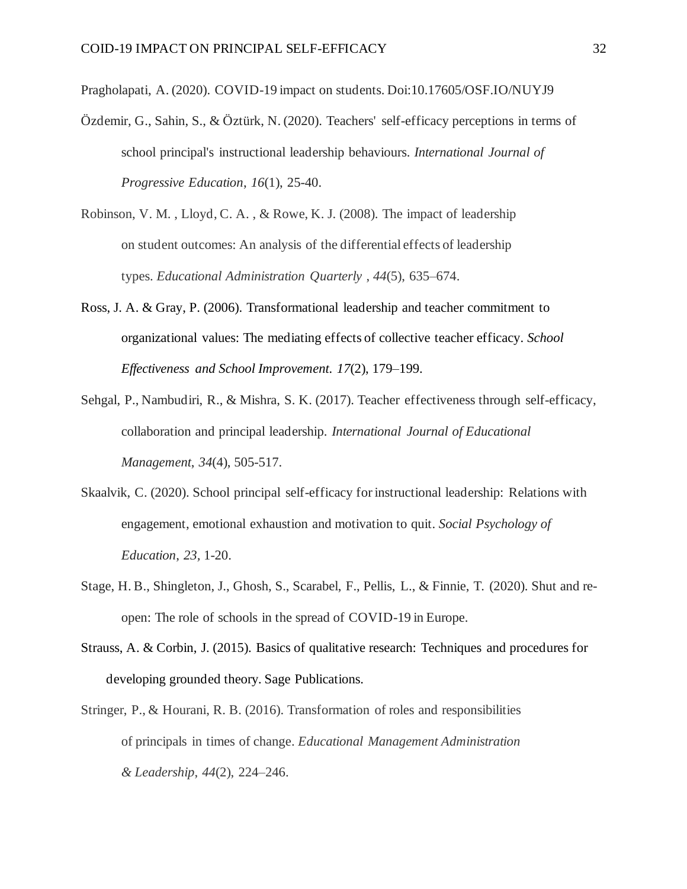Pragholapati, A. (2020). COVID-19 impact on students. Doi:10.17605/OSF.IO/NUYJ9

- Özdemir, G., Sahin, S., & Öztürk, N. (2020). Teachers' self-efficacy perceptions in terms of school principal's instructional leadership behaviours. *International Journal of Progressive Education*, *16*(1), 25-40.
- Robinson, V. M. , Lloyd, C. A. , & Rowe, K. J. (2008). The impact of leadership on student outcomes: An analysis of the differential effects of leadership types. *Educational Administration Quarterly* , *44*(5), 635–674.
- Ross, J. A. & Gray, P. (2006). Transformational leadership and teacher commitment to organizational values: The mediating effects of collective teacher efficacy. *School Effectiveness and School Improvement. 17*(2), 179–199.
- Sehgal, P., Nambudiri, R., & Mishra, S. K. (2017). Teacher effectiveness through self-efficacy, collaboration and principal leadership. *International Journal of Educational Management*, *34*(4), 505-517.
- Skaalvik, C. (2020). School principal self-efficacy for instructional leadership: Relations with engagement, emotional exhaustion and motivation to quit. *Social Psychology of Education*, *23,* 1-20.
- Stage, H. B., Shingleton, J., Ghosh, S., Scarabel, F., Pellis, L., & Finnie, T. (2020). Shut and reopen: The role of schools in the spread of COVID-19 in Europe.
- Strauss, A. & Corbin, J. (2015). Basics of qualitative research: Techniques and procedures for developing grounded theory*.* Sage Publications.
- Stringer, P., & Hourani, R. B. (2016). Transformation of roles and responsibilities of principals in times of change. *Educational Management Administration & Leadership*, *44*(2), 224–246.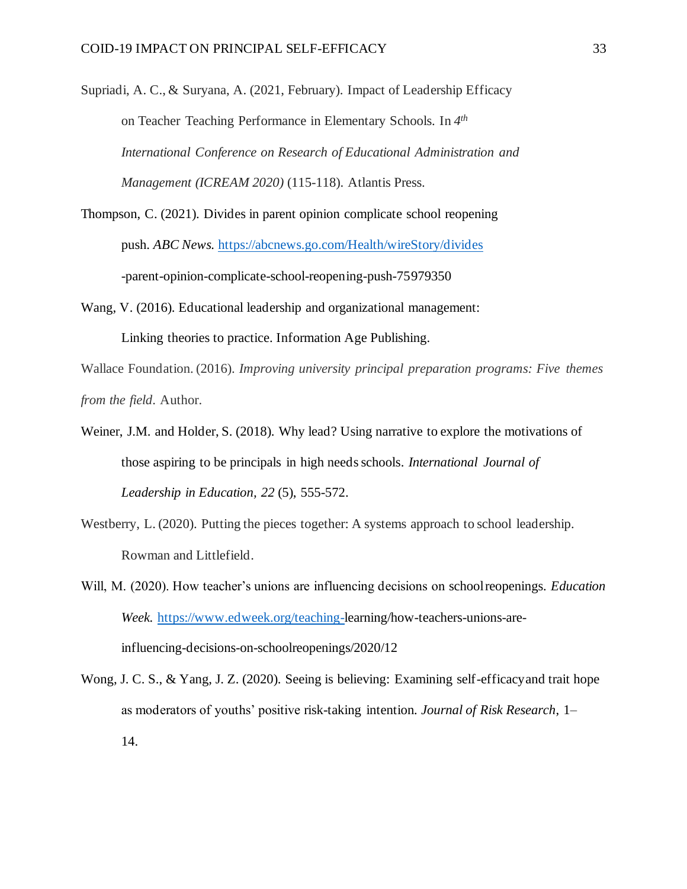Supriadi, A. C., & Suryana, A. (2021, February). Impact of Leadership Efficacy on Teacher Teaching Performance in Elementary Schools. In *4 th International Conference on Research of Educational Administration and Management (ICREAM 2020)* (115-118). Atlantis Press.

- Thompson, C. (2021). Divides in parent opinion complicate school reopening push. *ABC News.* <https://abcnews.go.com/Health/wireStory/divides> -parent-opinion-complicate-school-reopening-push-75979350
- Wang, V. (2016). Educational leadership and organizational management: Linking theories to practice. Information Age Publishing.

Wallace Foundation. (2016). *Improving university principal preparation programs: Five themes from the field*. Author.

- Weiner, J.M. and Holder, S. (2018). Why lead? Using narrative to explore the motivations of those aspiring to be principals in high needs schools. *International Journal of Leadership in Education, 22* (5), 555-572.
- Westberry, L. (2020). Putting the pieces together: A systems approach to school leadership. Rowman and Littlefield.
- Will, M. (2020). How teacher's unions are influencing decisions on schoolreopenings. *Education Week.* [https://www.edweek.org/teaching-l](https://www.edweek.org/teaching-)earning/how-teachers-unions-areinfluencing-decisions-on-schoolreopenings/2020/12
- Wong, J. C. S., & Yang, J. Z. (2020). Seeing is believing: Examining self-efficacyand trait hope as moderators of youths' positive risk-taking intention*. Journal of Risk Research*, 1– 14.